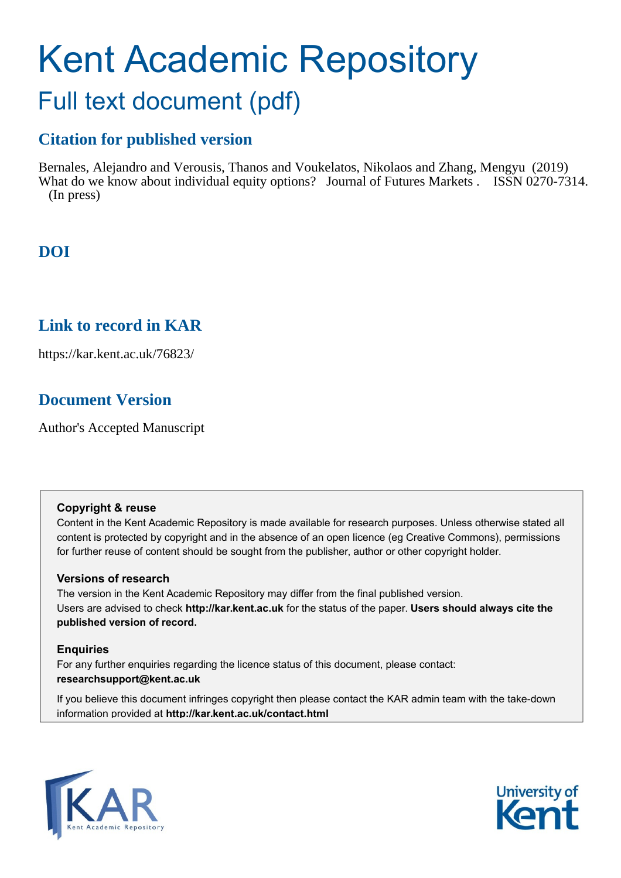# Kent Academic Repository Full text document (pdf)

# **Citation for published version**

Bernales, Alejandro and Verousis, Thanos and Voukelatos, Nikolaos and Zhang, Mengyu (2019) What do we know about individual equity options? Journal of Futures Markets . ISSN 0270-7314. (In press)

# **DOI**

# **Link to record in KAR**

https://kar.kent.ac.uk/76823/

# **Document Version**

Author's Accepted Manuscript

#### **Copyright & reuse**

Content in the Kent Academic Repository is made available for research purposes. Unless otherwise stated all content is protected by copyright and in the absence of an open licence (eg Creative Commons), permissions for further reuse of content should be sought from the publisher, author or other copyright holder.

#### **Versions of research**

The version in the Kent Academic Repository may differ from the final published version. Users are advised to check **http://kar.kent.ac.uk** for the status of the paper. **Users should always cite the published version of record.**

#### **Enquiries**

For any further enquiries regarding the licence status of this document, please contact: **researchsupport@kent.ac.uk**

If you believe this document infringes copyright then please contact the KAR admin team with the take-down information provided at **http://kar.kent.ac.uk/contact.html**



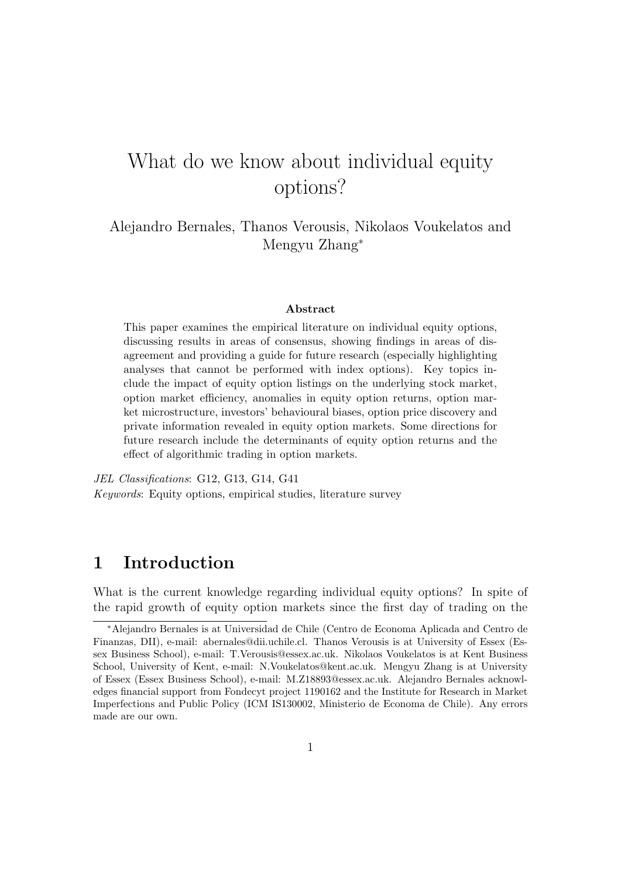# What do we know about individual equity options?

Alejandro Bernales, Thanos Verousis, Nikolaos Voukelatos and Mengyu Zhang<sup>∗</sup>

#### Abstract

This paper examines the empirical literature on individual equity options, discussing results in areas of consensus, showing findings in areas of disagreement and providing a guide for future research (especially highlighting analyses that cannot be performed with index options). Key topics include the impact of equity option listings on the underlying stock market, option market efficiency, anomalies in equity option returns, option market microstructure, investors' behavioural biases, option price discovery and private information revealed in equity option markets. Some directions for future research include the determinants of equity option returns and the effect of algorithmic trading in option markets.

JEL Classifications: G12, G13, G14, G41 Keywords: Equity options, empirical studies, literature survey

# 1 Introduction

What is the current knowledge regarding individual equity options? In spite of the rapid growth of equity option markets since the first day of trading on the

<sup>∗</sup>Alejandro Bernales is at Universidad de Chile (Centro de Economa Aplicada and Centro de Finanzas, DII), e-mail: abernales@dii.uchile.cl. Thanos Verousis is at University of Essex (Essex Business School), e-mail: T.Verousis@essex.ac.uk. Nikolaos Voukelatos is at Kent Business School, University of Kent, e-mail: N.Voukelatos@kent.ac.uk. Mengyu Zhang is at University of Essex (Essex Business School), e-mail: M.Z18893@essex.ac.uk. Alejandro Bernales acknowledges financial support from Fondecyt project 1190162 and the Institute for Research in Market Imperfections and Public Policy (ICM IS130002, Ministerio de Economa de Chile). Any errors made are our own.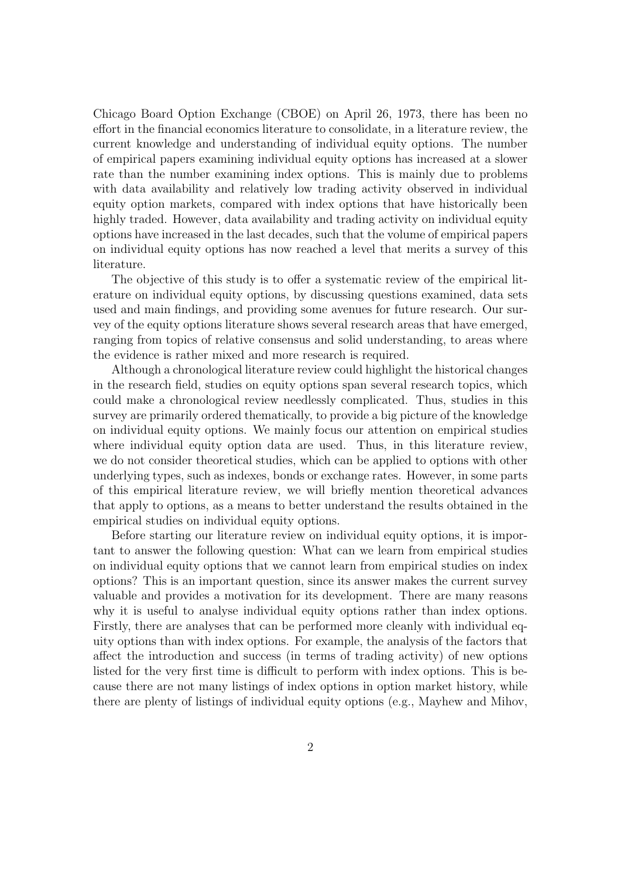Chicago Board Option Exchange (CBOE) on April 26, 1973, there has been no effort in the financial economics literature to consolidate, in a literature review, the current knowledge and understanding of individual equity options. The number of empirical papers examining individual equity options has increased at a slower rate than the number examining index options. This is mainly due to problems with data availability and relatively low trading activity observed in individual equity option markets, compared with index options that have historically been highly traded. However, data availability and trading activity on individual equity options have increased in the last decades, such that the volume of empirical papers on individual equity options has now reached a level that merits a survey of this literature.

The objective of this study is to offer a systematic review of the empirical literature on individual equity options, by discussing questions examined, data sets used and main findings, and providing some avenues for future research. Our survey of the equity options literature shows several research areas that have emerged, ranging from topics of relative consensus and solid understanding, to areas where the evidence is rather mixed and more research is required.

Although a chronological literature review could highlight the historical changes in the research field, studies on equity options span several research topics, which could make a chronological review needlessly complicated. Thus, studies in this survey are primarily ordered thematically, to provide a big picture of the knowledge on individual equity options. We mainly focus our attention on empirical studies where individual equity option data are used. Thus, in this literature review, we do not consider theoretical studies, which can be applied to options with other underlying types, such as indexes, bonds or exchange rates. However, in some parts of this empirical literature review, we will briefly mention theoretical advances that apply to options, as a means to better understand the results obtained in the empirical studies on individual equity options.

Before starting our literature review on individual equity options, it is important to answer the following question: What can we learn from empirical studies on individual equity options that we cannot learn from empirical studies on index options? This is an important question, since its answer makes the current survey valuable and provides a motivation for its development. There are many reasons why it is useful to analyse individual equity options rather than index options. Firstly, there are analyses that can be performed more cleanly with individual equity options than with index options. For example, the analysis of the factors that affect the introduction and success (in terms of trading activity) of new options listed for the very first time is difficult to perform with index options. This is because there are not many listings of index options in option market history, while there are plenty of listings of individual equity options (e.g., Mayhew and Mihov,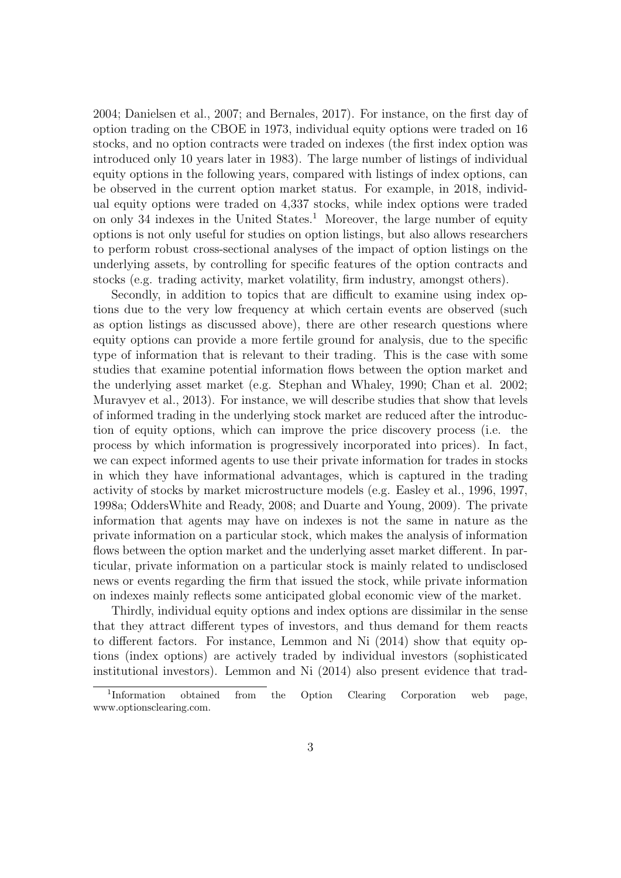2004; Danielsen et al., 2007; and Bernales, 2017). For instance, on the first day of option trading on the CBOE in 1973, individual equity options were traded on 16 stocks, and no option contracts were traded on indexes (the first index option was introduced only 10 years later in 1983). The large number of listings of individual equity options in the following years, compared with listings of index options, can be observed in the current option market status. For example, in 2018, individual equity options were traded on 4,337 stocks, while index options were traded on only 34 indexes in the United States.<sup>1</sup> Moreover, the large number of equity options is not only useful for studies on option listings, but also allows researchers to perform robust cross-sectional analyses of the impact of option listings on the underlying assets, by controlling for specific features of the option contracts and stocks (e.g. trading activity, market volatility, firm industry, amongst others).

Secondly, in addition to topics that are difficult to examine using index options due to the very low frequency at which certain events are observed (such as option listings as discussed above), there are other research questions where equity options can provide a more fertile ground for analysis, due to the specific type of information that is relevant to their trading. This is the case with some studies that examine potential information flows between the option market and the underlying asset market (e.g. Stephan and Whaley, 1990; Chan et al. 2002; Muravyev et al., 2013). For instance, we will describe studies that show that levels of informed trading in the underlying stock market are reduced after the introduction of equity options, which can improve the price discovery process (i.e. the process by which information is progressively incorporated into prices). In fact, we can expect informed agents to use their private information for trades in stocks in which they have informational advantages, which is captured in the trading activity of stocks by market microstructure models (e.g. Easley et al., 1996, 1997, 1998a; OddersWhite and Ready, 2008; and Duarte and Young, 2009). The private information that agents may have on indexes is not the same in nature as the private information on a particular stock, which makes the analysis of information flows between the option market and the underlying asset market different. In particular, private information on a particular stock is mainly related to undisclosed news or events regarding the firm that issued the stock, while private information on indexes mainly reflects some anticipated global economic view of the market.

Thirdly, individual equity options and index options are dissimilar in the sense that they attract different types of investors, and thus demand for them reacts to different factors. For instance, Lemmon and Ni (2014) show that equity options (index options) are actively traded by individual investors (sophisticated institutional investors). Lemmon and Ni (2014) also present evidence that trad-

 $1$ Information obtained from the Option Clearing Corporation web page, www.optionsclearing.com.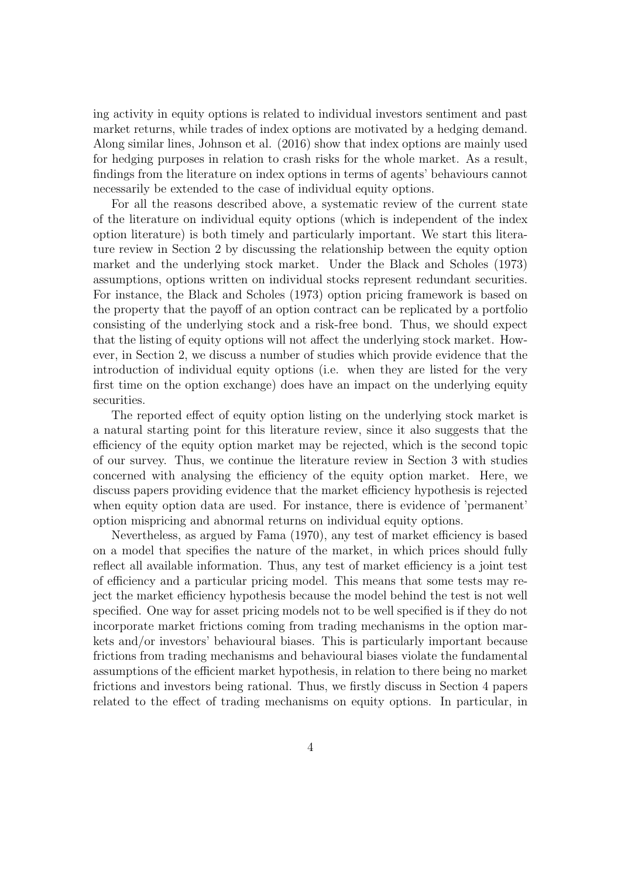ing activity in equity options is related to individual investors sentiment and past market returns, while trades of index options are motivated by a hedging demand. Along similar lines, Johnson et al. (2016) show that index options are mainly used for hedging purposes in relation to crash risks for the whole market. As a result, findings from the literature on index options in terms of agents' behaviours cannot necessarily be extended to the case of individual equity options.

For all the reasons described above, a systematic review of the current state of the literature on individual equity options (which is independent of the index option literature) is both timely and particularly important. We start this literature review in Section 2 by discussing the relationship between the equity option market and the underlying stock market. Under the Black and Scholes (1973) assumptions, options written on individual stocks represent redundant securities. For instance, the Black and Scholes (1973) option pricing framework is based on the property that the payoff of an option contract can be replicated by a portfolio consisting of the underlying stock and a risk-free bond. Thus, we should expect that the listing of equity options will not affect the underlying stock market. However, in Section 2, we discuss a number of studies which provide evidence that the introduction of individual equity options (i.e. when they are listed for the very first time on the option exchange) does have an impact on the underlying equity securities.

The reported effect of equity option listing on the underlying stock market is a natural starting point for this literature review, since it also suggests that the efficiency of the equity option market may be rejected, which is the second topic of our survey. Thus, we continue the literature review in Section 3 with studies concerned with analysing the efficiency of the equity option market. Here, we discuss papers providing evidence that the market efficiency hypothesis is rejected when equity option data are used. For instance, there is evidence of 'permanent' option mispricing and abnormal returns on individual equity options.

Nevertheless, as argued by Fama (1970), any test of market efficiency is based on a model that specifies the nature of the market, in which prices should fully reflect all available information. Thus, any test of market efficiency is a joint test of efficiency and a particular pricing model. This means that some tests may reject the market efficiency hypothesis because the model behind the test is not well specified. One way for asset pricing models not to be well specified is if they do not incorporate market frictions coming from trading mechanisms in the option markets and/or investors' behavioural biases. This is particularly important because frictions from trading mechanisms and behavioural biases violate the fundamental assumptions of the efficient market hypothesis, in relation to there being no market frictions and investors being rational. Thus, we firstly discuss in Section 4 papers related to the effect of trading mechanisms on equity options. In particular, in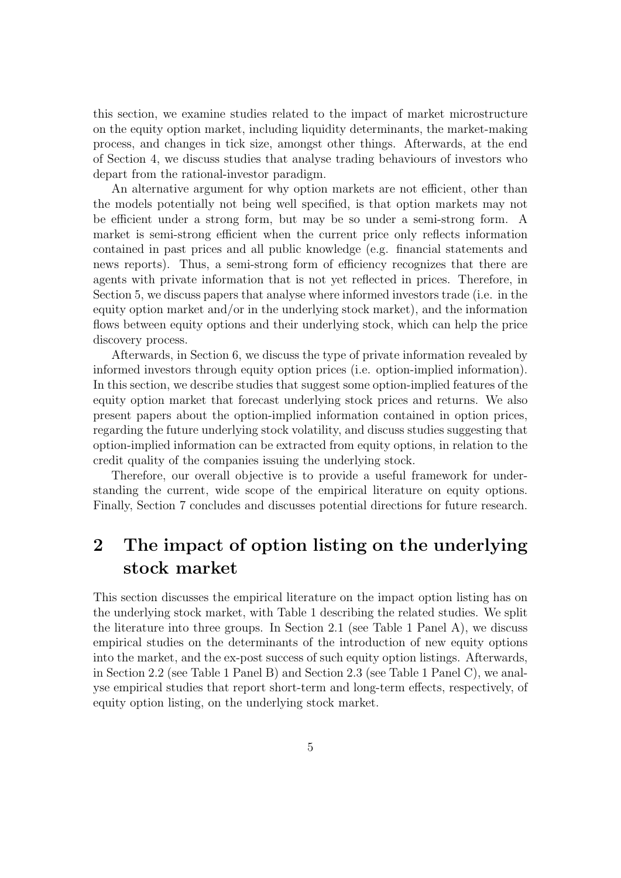this section, we examine studies related to the impact of market microstructure on the equity option market, including liquidity determinants, the market-making process, and changes in tick size, amongst other things. Afterwards, at the end of Section 4, we discuss studies that analyse trading behaviours of investors who depart from the rational-investor paradigm.

An alternative argument for why option markets are not efficient, other than the models potentially not being well specified, is that option markets may not be efficient under a strong form, but may be so under a semi-strong form. A market is semi-strong efficient when the current price only reflects information contained in past prices and all public knowledge (e.g. financial statements and news reports). Thus, a semi-strong form of efficiency recognizes that there are agents with private information that is not yet reflected in prices. Therefore, in Section 5, we discuss papers that analyse where informed investors trade (i.e. in the equity option market and/or in the underlying stock market), and the information flows between equity options and their underlying stock, which can help the price discovery process.

Afterwards, in Section 6, we discuss the type of private information revealed by informed investors through equity option prices (i.e. option-implied information). In this section, we describe studies that suggest some option-implied features of the equity option market that forecast underlying stock prices and returns. We also present papers about the option-implied information contained in option prices, regarding the future underlying stock volatility, and discuss studies suggesting that option-implied information can be extracted from equity options, in relation to the credit quality of the companies issuing the underlying stock.

Therefore, our overall objective is to provide a useful framework for understanding the current, wide scope of the empirical literature on equity options. Finally, Section 7 concludes and discusses potential directions for future research.

# 2 The impact of option listing on the underlying stock market

This section discusses the empirical literature on the impact option listing has on the underlying stock market, with Table 1 describing the related studies. We split the literature into three groups. In Section 2.1 (see Table 1 Panel A), we discuss empirical studies on the determinants of the introduction of new equity options into the market, and the ex-post success of such equity option listings. Afterwards, in Section 2.2 (see Table 1 Panel B) and Section 2.3 (see Table 1 Panel C), we analyse empirical studies that report short-term and long-term effects, respectively, of equity option listing, on the underlying stock market.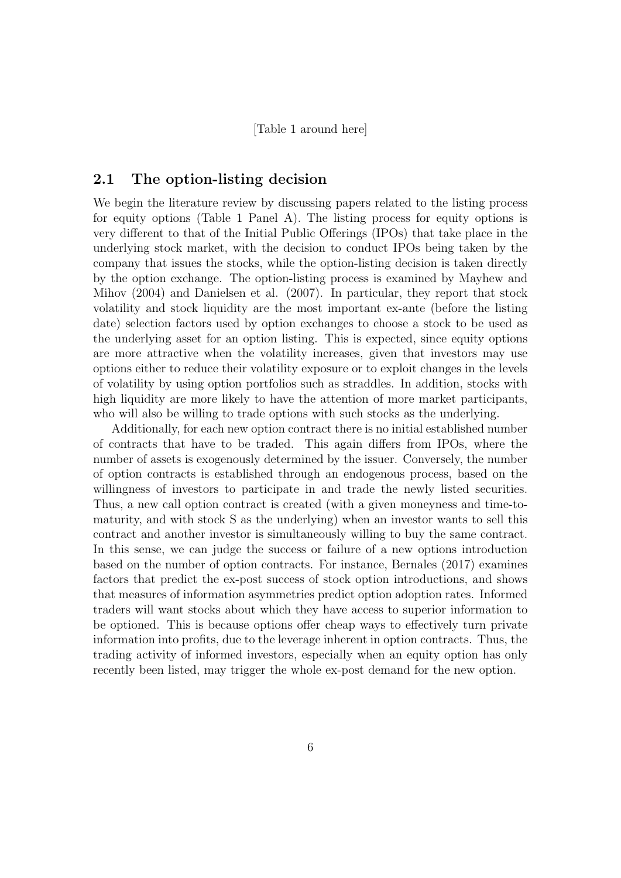[Table 1 around here]

#### 2.1 The option-listing decision

We begin the literature review by discussing papers related to the listing process for equity options (Table 1 Panel A). The listing process for equity options is very different to that of the Initial Public Offerings (IPOs) that take place in the underlying stock market, with the decision to conduct IPOs being taken by the company that issues the stocks, while the option-listing decision is taken directly by the option exchange. The option-listing process is examined by Mayhew and Mihov (2004) and Danielsen et al. (2007). In particular, they report that stock volatility and stock liquidity are the most important ex-ante (before the listing date) selection factors used by option exchanges to choose a stock to be used as the underlying asset for an option listing. This is expected, since equity options are more attractive when the volatility increases, given that investors may use options either to reduce their volatility exposure or to exploit changes in the levels of volatility by using option portfolios such as straddles. In addition, stocks with high liquidity are more likely to have the attention of more market participants, who will also be willing to trade options with such stocks as the underlying.

Additionally, for each new option contract there is no initial established number of contracts that have to be traded. This again differs from IPOs, where the number of assets is exogenously determined by the issuer. Conversely, the number of option contracts is established through an endogenous process, based on the willingness of investors to participate in and trade the newly listed securities. Thus, a new call option contract is created (with a given moneyness and time-tomaturity, and with stock S as the underlying) when an investor wants to sell this contract and another investor is simultaneously willing to buy the same contract. In this sense, we can judge the success or failure of a new options introduction based on the number of option contracts. For instance, Bernales (2017) examines factors that predict the ex-post success of stock option introductions, and shows that measures of information asymmetries predict option adoption rates. Informed traders will want stocks about which they have access to superior information to be optioned. This is because options offer cheap ways to effectively turn private information into profits, due to the leverage inherent in option contracts. Thus, the trading activity of informed investors, especially when an equity option has only recently been listed, may trigger the whole ex-post demand for the new option.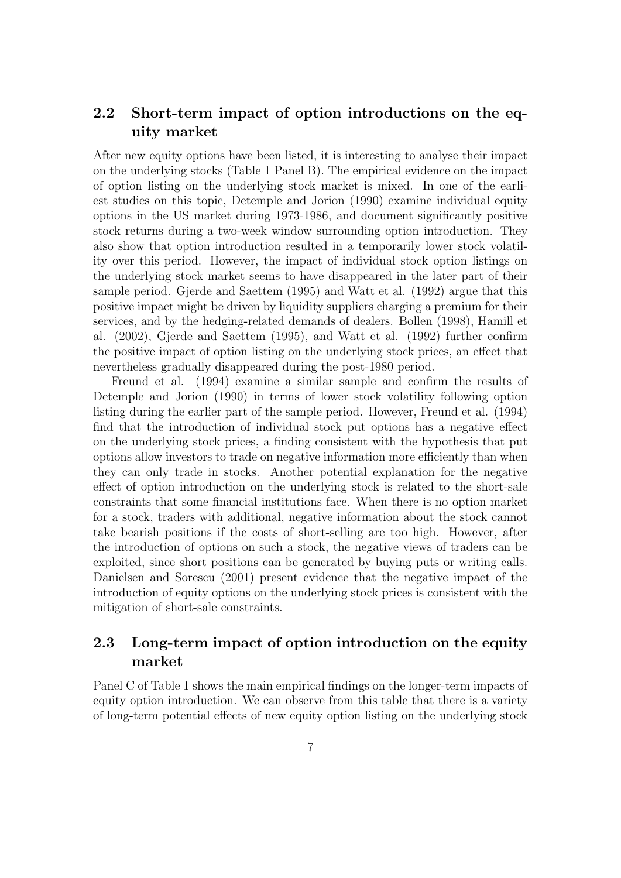### 2.2 Short-term impact of option introductions on the equity market

After new equity options have been listed, it is interesting to analyse their impact on the underlying stocks (Table 1 Panel B). The empirical evidence on the impact of option listing on the underlying stock market is mixed. In one of the earliest studies on this topic, Detemple and Jorion (1990) examine individual equity options in the US market during 1973-1986, and document significantly positive stock returns during a two-week window surrounding option introduction. They also show that option introduction resulted in a temporarily lower stock volatility over this period. However, the impact of individual stock option listings on the underlying stock market seems to have disappeared in the later part of their sample period. Gjerde and Saettem (1995) and Watt et al. (1992) argue that this positive impact might be driven by liquidity suppliers charging a premium for their services, and by the hedging-related demands of dealers. Bollen (1998), Hamill et al. (2002), Gjerde and Saettem (1995), and Watt et al. (1992) further confirm the positive impact of option listing on the underlying stock prices, an effect that nevertheless gradually disappeared during the post-1980 period.

Freund et al. (1994) examine a similar sample and confirm the results of Detemple and Jorion (1990) in terms of lower stock volatility following option listing during the earlier part of the sample period. However, Freund et al. (1994) find that the introduction of individual stock put options has a negative effect on the underlying stock prices, a finding consistent with the hypothesis that put options allow investors to trade on negative information more efficiently than when they can only trade in stocks. Another potential explanation for the negative effect of option introduction on the underlying stock is related to the short-sale constraints that some financial institutions face. When there is no option market for a stock, traders with additional, negative information about the stock cannot take bearish positions if the costs of short-selling are too high. However, after the introduction of options on such a stock, the negative views of traders can be exploited, since short positions can be generated by buying puts or writing calls. Danielsen and Sorescu (2001) present evidence that the negative impact of the introduction of equity options on the underlying stock prices is consistent with the mitigation of short-sale constraints.

#### 2.3 Long-term impact of option introduction on the equity market

Panel C of Table 1 shows the main empirical findings on the longer-term impacts of equity option introduction. We can observe from this table that there is a variety of long-term potential effects of new equity option listing on the underlying stock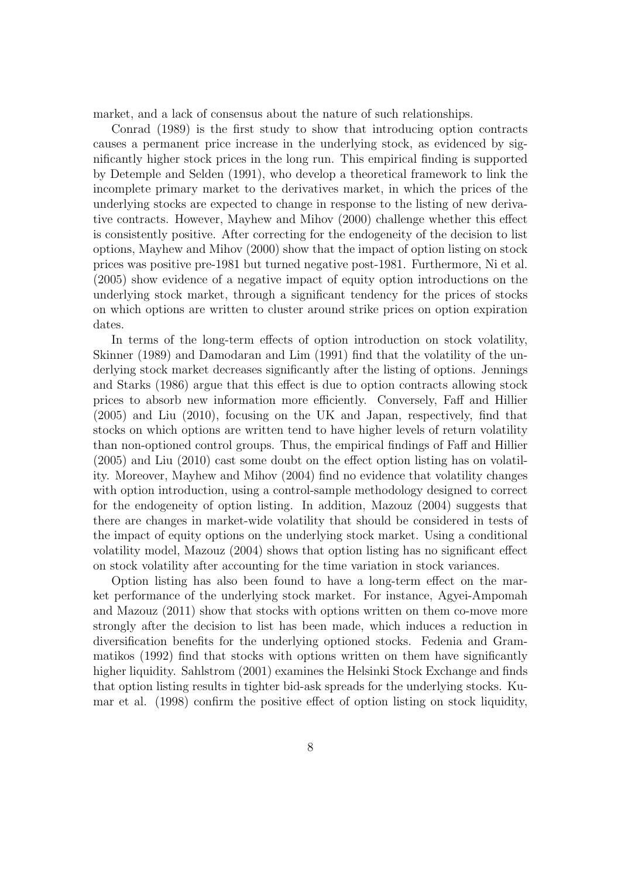market, and a lack of consensus about the nature of such relationships.

Conrad (1989) is the first study to show that introducing option contracts causes a permanent price increase in the underlying stock, as evidenced by significantly higher stock prices in the long run. This empirical finding is supported by Detemple and Selden (1991), who develop a theoretical framework to link the incomplete primary market to the derivatives market, in which the prices of the underlying stocks are expected to change in response to the listing of new derivative contracts. However, Mayhew and Mihov (2000) challenge whether this effect is consistently positive. After correcting for the endogeneity of the decision to list options, Mayhew and Mihov (2000) show that the impact of option listing on stock prices was positive pre-1981 but turned negative post-1981. Furthermore, Ni et al. (2005) show evidence of a negative impact of equity option introductions on the underlying stock market, through a significant tendency for the prices of stocks on which options are written to cluster around strike prices on option expiration dates.

In terms of the long-term effects of option introduction on stock volatility, Skinner (1989) and Damodaran and Lim (1991) find that the volatility of the underlying stock market decreases significantly after the listing of options. Jennings and Starks (1986) argue that this effect is due to option contracts allowing stock prices to absorb new information more efficiently. Conversely, Faff and Hillier (2005) and Liu (2010), focusing on the UK and Japan, respectively, find that stocks on which options are written tend to have higher levels of return volatility than non-optioned control groups. Thus, the empirical findings of Faff and Hillier (2005) and Liu (2010) cast some doubt on the effect option listing has on volatility. Moreover, Mayhew and Mihov (2004) find no evidence that volatility changes with option introduction, using a control-sample methodology designed to correct for the endogeneity of option listing. In addition, Mazouz (2004) suggests that there are changes in market-wide volatility that should be considered in tests of the impact of equity options on the underlying stock market. Using a conditional volatility model, Mazouz (2004) shows that option listing has no significant effect on stock volatility after accounting for the time variation in stock variances.

Option listing has also been found to have a long-term effect on the market performance of the underlying stock market. For instance, Agyei-Ampomah and Mazouz (2011) show that stocks with options written on them co-move more strongly after the decision to list has been made, which induces a reduction in diversification benefits for the underlying optioned stocks. Fedenia and Grammatikos (1992) find that stocks with options written on them have significantly higher liquidity. Sahlstrom (2001) examines the Helsinki Stock Exchange and finds that option listing results in tighter bid-ask spreads for the underlying stocks. Kumar et al. (1998) confirm the positive effect of option listing on stock liquidity,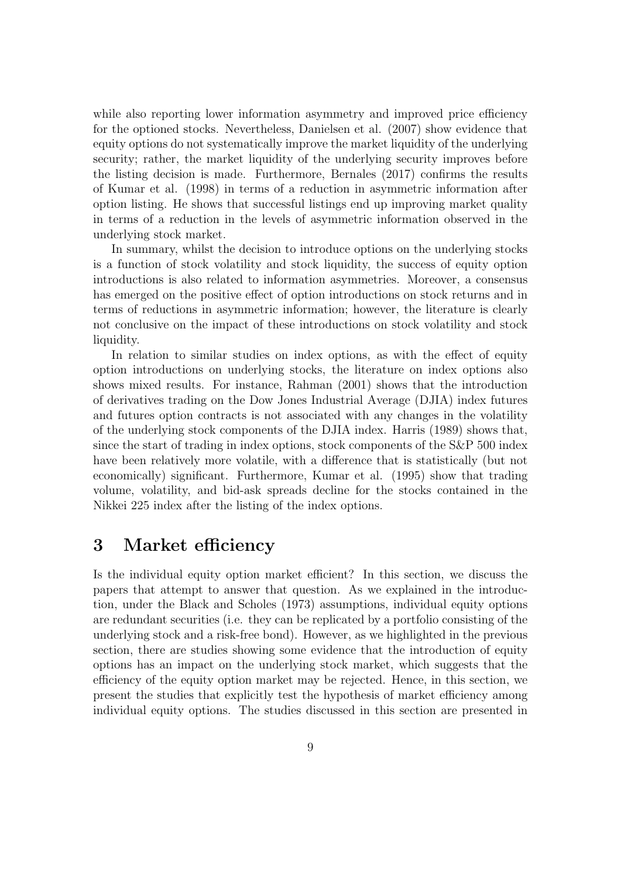while also reporting lower information asymmetry and improved price efficiency for the optioned stocks. Nevertheless, Danielsen et al. (2007) show evidence that equity options do not systematically improve the market liquidity of the underlying security; rather, the market liquidity of the underlying security improves before the listing decision is made. Furthermore, Bernales (2017) confirms the results of Kumar et al. (1998) in terms of a reduction in asymmetric information after option listing. He shows that successful listings end up improving market quality in terms of a reduction in the levels of asymmetric information observed in the underlying stock market.

In summary, whilst the decision to introduce options on the underlying stocks is a function of stock volatility and stock liquidity, the success of equity option introductions is also related to information asymmetries. Moreover, a consensus has emerged on the positive effect of option introductions on stock returns and in terms of reductions in asymmetric information; however, the literature is clearly not conclusive on the impact of these introductions on stock volatility and stock liquidity.

In relation to similar studies on index options, as with the effect of equity option introductions on underlying stocks, the literature on index options also shows mixed results. For instance, Rahman (2001) shows that the introduction of derivatives trading on the Dow Jones Industrial Average (DJIA) index futures and futures option contracts is not associated with any changes in the volatility of the underlying stock components of the DJIA index. Harris (1989) shows that, since the start of trading in index options, stock components of the S&P 500 index have been relatively more volatile, with a difference that is statistically (but not economically) significant. Furthermore, Kumar et al. (1995) show that trading volume, volatility, and bid-ask spreads decline for the stocks contained in the Nikkei 225 index after the listing of the index options.

## 3 Market efficiency

Is the individual equity option market efficient? In this section, we discuss the papers that attempt to answer that question. As we explained in the introduction, under the Black and Scholes (1973) assumptions, individual equity options are redundant securities (i.e. they can be replicated by a portfolio consisting of the underlying stock and a risk-free bond). However, as we highlighted in the previous section, there are studies showing some evidence that the introduction of equity options has an impact on the underlying stock market, which suggests that the efficiency of the equity option market may be rejected. Hence, in this section, we present the studies that explicitly test the hypothesis of market efficiency among individual equity options. The studies discussed in this section are presented in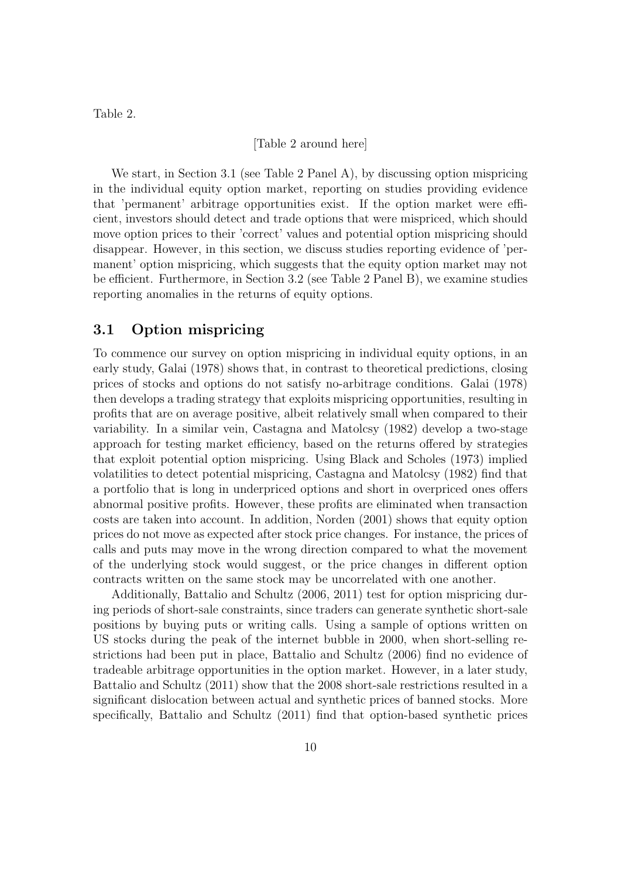Table 2.

[Table 2 around here]

We start, in Section 3.1 (see Table 2 Panel A), by discussing option mispricing in the individual equity option market, reporting on studies providing evidence that 'permanent' arbitrage opportunities exist. If the option market were efficient, investors should detect and trade options that were mispriced, which should move option prices to their 'correct' values and potential option mispricing should disappear. However, in this section, we discuss studies reporting evidence of 'permanent' option mispricing, which suggests that the equity option market may not be efficient. Furthermore, in Section 3.2 (see Table 2 Panel B), we examine studies reporting anomalies in the returns of equity options.

#### 3.1 Option mispricing

To commence our survey on option mispricing in individual equity options, in an early study, Galai (1978) shows that, in contrast to theoretical predictions, closing prices of stocks and options do not satisfy no-arbitrage conditions. Galai (1978) then develops a trading strategy that exploits mispricing opportunities, resulting in profits that are on average positive, albeit relatively small when compared to their variability. In a similar vein, Castagna and Matolcsy (1982) develop a two-stage approach for testing market efficiency, based on the returns offered by strategies that exploit potential option mispricing. Using Black and Scholes (1973) implied volatilities to detect potential mispricing, Castagna and Matolcsy (1982) find that a portfolio that is long in underpriced options and short in overpriced ones offers abnormal positive profits. However, these profits are eliminated when transaction costs are taken into account. In addition, Norden (2001) shows that equity option prices do not move as expected after stock price changes. For instance, the prices of calls and puts may move in the wrong direction compared to what the movement of the underlying stock would suggest, or the price changes in different option contracts written on the same stock may be uncorrelated with one another.

Additionally, Battalio and Schultz (2006, 2011) test for option mispricing during periods of short-sale constraints, since traders can generate synthetic short-sale positions by buying puts or writing calls. Using a sample of options written on US stocks during the peak of the internet bubble in 2000, when short-selling restrictions had been put in place, Battalio and Schultz (2006) find no evidence of tradeable arbitrage opportunities in the option market. However, in a later study, Battalio and Schultz (2011) show that the 2008 short-sale restrictions resulted in a significant dislocation between actual and synthetic prices of banned stocks. More specifically, Battalio and Schultz (2011) find that option-based synthetic prices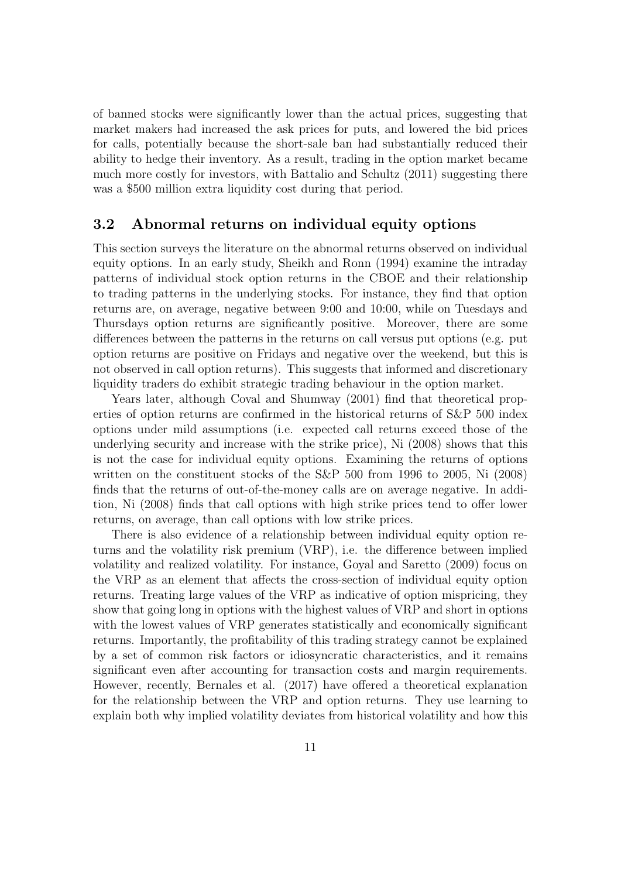of banned stocks were significantly lower than the actual prices, suggesting that market makers had increased the ask prices for puts, and lowered the bid prices for calls, potentially because the short-sale ban had substantially reduced their ability to hedge their inventory. As a result, trading in the option market became much more costly for investors, with Battalio and Schultz (2011) suggesting there was a \$500 million extra liquidity cost during that period.

#### 3.2 Abnormal returns on individual equity options

This section surveys the literature on the abnormal returns observed on individual equity options. In an early study, Sheikh and Ronn (1994) examine the intraday patterns of individual stock option returns in the CBOE and their relationship to trading patterns in the underlying stocks. For instance, they find that option returns are, on average, negative between 9:00 and 10:00, while on Tuesdays and Thursdays option returns are significantly positive. Moreover, there are some differences between the patterns in the returns on call versus put options (e.g. put option returns are positive on Fridays and negative over the weekend, but this is not observed in call option returns). This suggests that informed and discretionary liquidity traders do exhibit strategic trading behaviour in the option market.

Years later, although Coval and Shumway (2001) find that theoretical properties of option returns are confirmed in the historical returns of S&P 500 index options under mild assumptions (i.e. expected call returns exceed those of the underlying security and increase with the strike price), Ni (2008) shows that this is not the case for individual equity options. Examining the returns of options written on the constituent stocks of the S&P 500 from 1996 to 2005, Ni (2008) finds that the returns of out-of-the-money calls are on average negative. In addition, Ni (2008) finds that call options with high strike prices tend to offer lower returns, on average, than call options with low strike prices.

There is also evidence of a relationship between individual equity option returns and the volatility risk premium (VRP), i.e. the difference between implied volatility and realized volatility. For instance, Goyal and Saretto (2009) focus on the VRP as an element that affects the cross-section of individual equity option returns. Treating large values of the VRP as indicative of option mispricing, they show that going long in options with the highest values of VRP and short in options with the lowest values of VRP generates statistically and economically significant returns. Importantly, the profitability of this trading strategy cannot be explained by a set of common risk factors or idiosyncratic characteristics, and it remains significant even after accounting for transaction costs and margin requirements. However, recently, Bernales et al. (2017) have offered a theoretical explanation for the relationship between the VRP and option returns. They use learning to explain both why implied volatility deviates from historical volatility and how this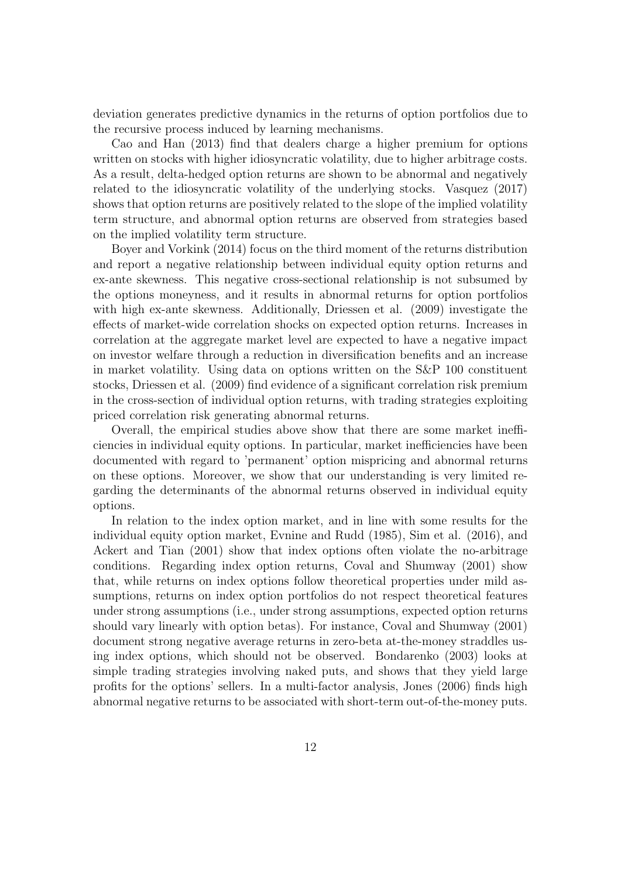deviation generates predictive dynamics in the returns of option portfolios due to the recursive process induced by learning mechanisms.

Cao and Han (2013) find that dealers charge a higher premium for options written on stocks with higher idiosyncratic volatility, due to higher arbitrage costs. As a result, delta-hedged option returns are shown to be abnormal and negatively related to the idiosyncratic volatility of the underlying stocks. Vasquez (2017) shows that option returns are positively related to the slope of the implied volatility term structure, and abnormal option returns are observed from strategies based on the implied volatility term structure.

Boyer and Vorkink (2014) focus on the third moment of the returns distribution and report a negative relationship between individual equity option returns and ex-ante skewness. This negative cross-sectional relationship is not subsumed by the options moneyness, and it results in abnormal returns for option portfolios with high ex-ante skewness. Additionally, Driessen et al. (2009) investigate the effects of market-wide correlation shocks on expected option returns. Increases in correlation at the aggregate market level are expected to have a negative impact on investor welfare through a reduction in diversification benefits and an increase in market volatility. Using data on options written on the S&P 100 constituent stocks, Driessen et al. (2009) find evidence of a significant correlation risk premium in the cross-section of individual option returns, with trading strategies exploiting priced correlation risk generating abnormal returns.

Overall, the empirical studies above show that there are some market inefficiencies in individual equity options. In particular, market inefficiencies have been documented with regard to 'permanent' option mispricing and abnormal returns on these options. Moreover, we show that our understanding is very limited regarding the determinants of the abnormal returns observed in individual equity options.

In relation to the index option market, and in line with some results for the individual equity option market, Evnine and Rudd (1985), Sim et al. (2016), and Ackert and Tian (2001) show that index options often violate the no-arbitrage conditions. Regarding index option returns, Coval and Shumway (2001) show that, while returns on index options follow theoretical properties under mild assumptions, returns on index option portfolios do not respect theoretical features under strong assumptions (i.e., under strong assumptions, expected option returns should vary linearly with option betas). For instance, Coval and Shumway (2001) document strong negative average returns in zero-beta at-the-money straddles using index options, which should not be observed. Bondarenko (2003) looks at simple trading strategies involving naked puts, and shows that they yield large profits for the options' sellers. In a multi-factor analysis, Jones (2006) finds high abnormal negative returns to be associated with short-term out-of-the-money puts.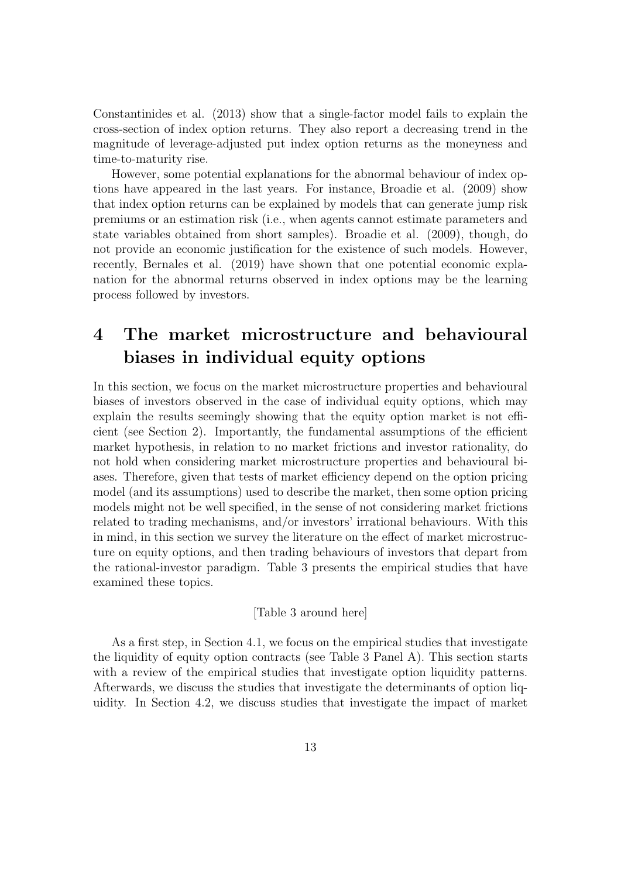Constantinides et al. (2013) show that a single-factor model fails to explain the cross-section of index option returns. They also report a decreasing trend in the magnitude of leverage-adjusted put index option returns as the moneyness and time-to-maturity rise.

However, some potential explanations for the abnormal behaviour of index options have appeared in the last years. For instance, Broadie et al. (2009) show that index option returns can be explained by models that can generate jump risk premiums or an estimation risk (i.e., when agents cannot estimate parameters and state variables obtained from short samples). Broadie et al. (2009), though, do not provide an economic justification for the existence of such models. However, recently, Bernales et al. (2019) have shown that one potential economic explanation for the abnormal returns observed in index options may be the learning process followed by investors.

# 4 The market microstructure and behavioural biases in individual equity options

In this section, we focus on the market microstructure properties and behavioural biases of investors observed in the case of individual equity options, which may explain the results seemingly showing that the equity option market is not efficient (see Section 2). Importantly, the fundamental assumptions of the efficient market hypothesis, in relation to no market frictions and investor rationality, do not hold when considering market microstructure properties and behavioural biases. Therefore, given that tests of market efficiency depend on the option pricing model (and its assumptions) used to describe the market, then some option pricing models might not be well specified, in the sense of not considering market frictions related to trading mechanisms, and/or investors' irrational behaviours. With this in mind, in this section we survey the literature on the effect of market microstructure on equity options, and then trading behaviours of investors that depart from the rational-investor paradigm. Table 3 presents the empirical studies that have examined these topics.

[Table 3 around here]

As a first step, in Section 4.1, we focus on the empirical studies that investigate the liquidity of equity option contracts (see Table 3 Panel A). This section starts with a review of the empirical studies that investigate option liquidity patterns. Afterwards, we discuss the studies that investigate the determinants of option liquidity. In Section 4.2, we discuss studies that investigate the impact of market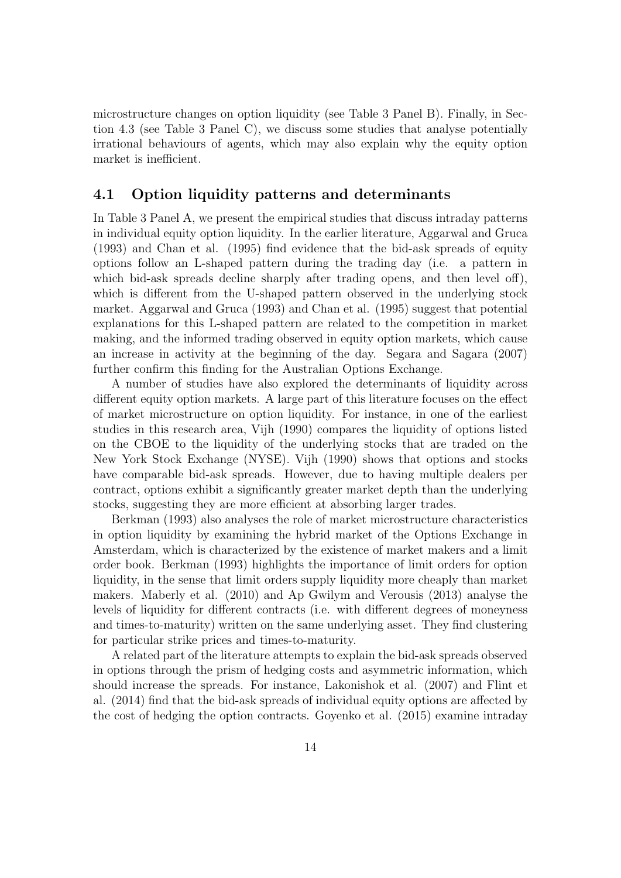microstructure changes on option liquidity (see Table 3 Panel B). Finally, in Section 4.3 (see Table 3 Panel C), we discuss some studies that analyse potentially irrational behaviours of agents, which may also explain why the equity option market is inefficient.

#### 4.1 Option liquidity patterns and determinants

In Table 3 Panel A, we present the empirical studies that discuss intraday patterns in individual equity option liquidity. In the earlier literature, Aggarwal and Gruca (1993) and Chan et al. (1995) find evidence that the bid-ask spreads of equity options follow an L-shaped pattern during the trading day (i.e. a pattern in which bid-ask spreads decline sharply after trading opens, and then level off), which is different from the U-shaped pattern observed in the underlying stock market. Aggarwal and Gruca (1993) and Chan et al. (1995) suggest that potential explanations for this L-shaped pattern are related to the competition in market making, and the informed trading observed in equity option markets, which cause an increase in activity at the beginning of the day. Segara and Sagara (2007) further confirm this finding for the Australian Options Exchange.

A number of studies have also explored the determinants of liquidity across different equity option markets. A large part of this literature focuses on the effect of market microstructure on option liquidity. For instance, in one of the earliest studies in this research area, Vijh (1990) compares the liquidity of options listed on the CBOE to the liquidity of the underlying stocks that are traded on the New York Stock Exchange (NYSE). Vijh (1990) shows that options and stocks have comparable bid-ask spreads. However, due to having multiple dealers per contract, options exhibit a significantly greater market depth than the underlying stocks, suggesting they are more efficient at absorbing larger trades.

Berkman (1993) also analyses the role of market microstructure characteristics in option liquidity by examining the hybrid market of the Options Exchange in Amsterdam, which is characterized by the existence of market makers and a limit order book. Berkman (1993) highlights the importance of limit orders for option liquidity, in the sense that limit orders supply liquidity more cheaply than market makers. Maberly et al. (2010) and Ap Gwilym and Verousis (2013) analyse the levels of liquidity for different contracts (i.e. with different degrees of moneyness and times-to-maturity) written on the same underlying asset. They find clustering for particular strike prices and times-to-maturity.

A related part of the literature attempts to explain the bid-ask spreads observed in options through the prism of hedging costs and asymmetric information, which should increase the spreads. For instance, Lakonishok et al. (2007) and Flint et al. (2014) find that the bid-ask spreads of individual equity options are affected by the cost of hedging the option contracts. Goyenko et al. (2015) examine intraday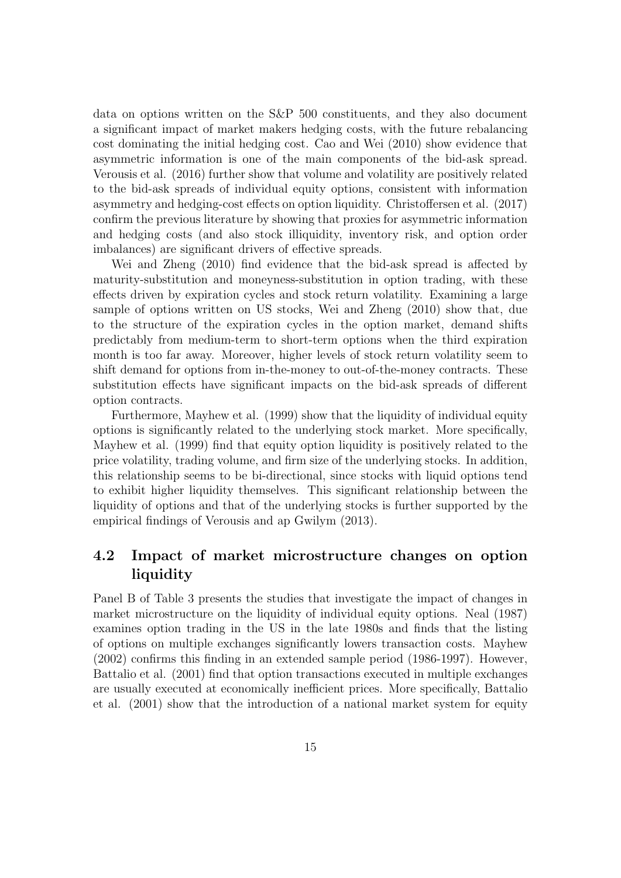data on options written on the S&P 500 constituents, and they also document a significant impact of market makers hedging costs, with the future rebalancing cost dominating the initial hedging cost. Cao and Wei (2010) show evidence that asymmetric information is one of the main components of the bid-ask spread. Verousis et al. (2016) further show that volume and volatility are positively related to the bid-ask spreads of individual equity options, consistent with information asymmetry and hedging-cost effects on option liquidity. Christoffersen et al. (2017) confirm the previous literature by showing that proxies for asymmetric information and hedging costs (and also stock illiquidity, inventory risk, and option order imbalances) are significant drivers of effective spreads.

Wei and Zheng (2010) find evidence that the bid-ask spread is affected by maturity-substitution and moneyness-substitution in option trading, with these effects driven by expiration cycles and stock return volatility. Examining a large sample of options written on US stocks, Wei and Zheng (2010) show that, due to the structure of the expiration cycles in the option market, demand shifts predictably from medium-term to short-term options when the third expiration month is too far away. Moreover, higher levels of stock return volatility seem to shift demand for options from in-the-money to out-of-the-money contracts. These substitution effects have significant impacts on the bid-ask spreads of different option contracts.

Furthermore, Mayhew et al. (1999) show that the liquidity of individual equity options is significantly related to the underlying stock market. More specifically, Mayhew et al. (1999) find that equity option liquidity is positively related to the price volatility, trading volume, and firm size of the underlying stocks. In addition, this relationship seems to be bi-directional, since stocks with liquid options tend to exhibit higher liquidity themselves. This significant relationship between the liquidity of options and that of the underlying stocks is further supported by the empirical findings of Verousis and ap Gwilym (2013).

#### 4.2 Impact of market microstructure changes on option liquidity

Panel B of Table 3 presents the studies that investigate the impact of changes in market microstructure on the liquidity of individual equity options. Neal (1987) examines option trading in the US in the late 1980s and finds that the listing of options on multiple exchanges significantly lowers transaction costs. Mayhew (2002) confirms this finding in an extended sample period (1986-1997). However, Battalio et al. (2001) find that option transactions executed in multiple exchanges are usually executed at economically inefficient prices. More specifically, Battalio et al. (2001) show that the introduction of a national market system for equity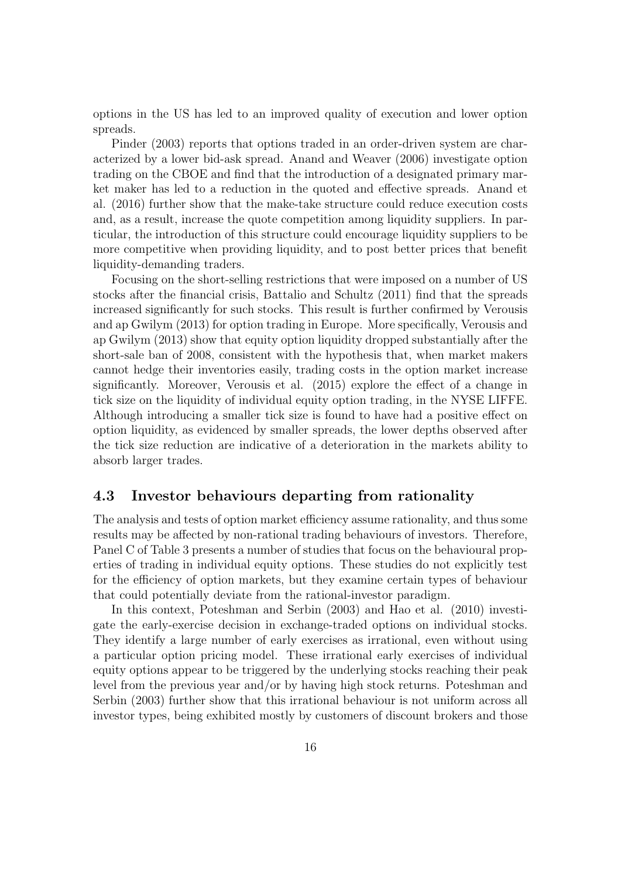options in the US has led to an improved quality of execution and lower option spreads.

Pinder (2003) reports that options traded in an order-driven system are characterized by a lower bid-ask spread. Anand and Weaver (2006) investigate option trading on the CBOE and find that the introduction of a designated primary market maker has led to a reduction in the quoted and effective spreads. Anand et al. (2016) further show that the make-take structure could reduce execution costs and, as a result, increase the quote competition among liquidity suppliers. In particular, the introduction of this structure could encourage liquidity suppliers to be more competitive when providing liquidity, and to post better prices that benefit liquidity-demanding traders.

Focusing on the short-selling restrictions that were imposed on a number of US stocks after the financial crisis, Battalio and Schultz (2011) find that the spreads increased significantly for such stocks. This result is further confirmed by Verousis and ap Gwilym (2013) for option trading in Europe. More specifically, Verousis and ap Gwilym (2013) show that equity option liquidity dropped substantially after the short-sale ban of 2008, consistent with the hypothesis that, when market makers cannot hedge their inventories easily, trading costs in the option market increase significantly. Moreover, Verousis et al. (2015) explore the effect of a change in tick size on the liquidity of individual equity option trading, in the NYSE LIFFE. Although introducing a smaller tick size is found to have had a positive effect on option liquidity, as evidenced by smaller spreads, the lower depths observed after the tick size reduction are indicative of a deterioration in the markets ability to absorb larger trades.

#### 4.3 Investor behaviours departing from rationality

The analysis and tests of option market efficiency assume rationality, and thus some results may be affected by non-rational trading behaviours of investors. Therefore, Panel C of Table 3 presents a number of studies that focus on the behavioural properties of trading in individual equity options. These studies do not explicitly test for the efficiency of option markets, but they examine certain types of behaviour that could potentially deviate from the rational-investor paradigm.

In this context, Poteshman and Serbin (2003) and Hao et al. (2010) investigate the early-exercise decision in exchange-traded options on individual stocks. They identify a large number of early exercises as irrational, even without using a particular option pricing model. These irrational early exercises of individual equity options appear to be triggered by the underlying stocks reaching their peak level from the previous year and/or by having high stock returns. Poteshman and Serbin (2003) further show that this irrational behaviour is not uniform across all investor types, being exhibited mostly by customers of discount brokers and those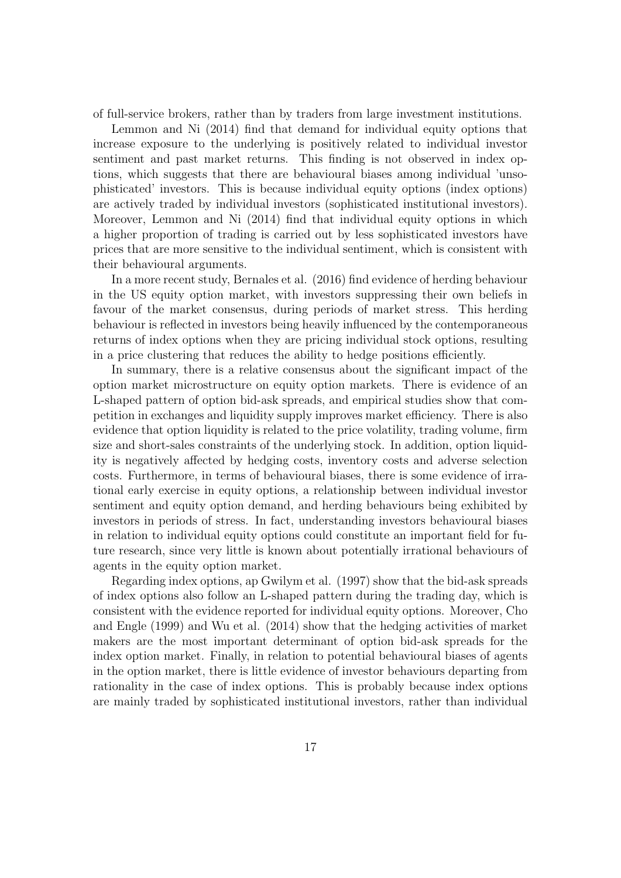of full-service brokers, rather than by traders from large investment institutions.

Lemmon and Ni (2014) find that demand for individual equity options that increase exposure to the underlying is positively related to individual investor sentiment and past market returns. This finding is not observed in index options, which suggests that there are behavioural biases among individual 'unsophisticated' investors. This is because individual equity options (index options) are actively traded by individual investors (sophisticated institutional investors). Moreover, Lemmon and Ni (2014) find that individual equity options in which a higher proportion of trading is carried out by less sophisticated investors have prices that are more sensitive to the individual sentiment, which is consistent with their behavioural arguments.

In a more recent study, Bernales et al. (2016) find evidence of herding behaviour in the US equity option market, with investors suppressing their own beliefs in favour of the market consensus, during periods of market stress. This herding behaviour is reflected in investors being heavily influenced by the contemporaneous returns of index options when they are pricing individual stock options, resulting in a price clustering that reduces the ability to hedge positions efficiently.

In summary, there is a relative consensus about the significant impact of the option market microstructure on equity option markets. There is evidence of an L-shaped pattern of option bid-ask spreads, and empirical studies show that competition in exchanges and liquidity supply improves market efficiency. There is also evidence that option liquidity is related to the price volatility, trading volume, firm size and short-sales constraints of the underlying stock. In addition, option liquidity is negatively affected by hedging costs, inventory costs and adverse selection costs. Furthermore, in terms of behavioural biases, there is some evidence of irrational early exercise in equity options, a relationship between individual investor sentiment and equity option demand, and herding behaviours being exhibited by investors in periods of stress. In fact, understanding investors behavioural biases in relation to individual equity options could constitute an important field for future research, since very little is known about potentially irrational behaviours of agents in the equity option market.

Regarding index options, ap Gwilym et al. (1997) show that the bid-ask spreads of index options also follow an L-shaped pattern during the trading day, which is consistent with the evidence reported for individual equity options. Moreover, Cho and Engle (1999) and Wu et al. (2014) show that the hedging activities of market makers are the most important determinant of option bid-ask spreads for the index option market. Finally, in relation to potential behavioural biases of agents in the option market, there is little evidence of investor behaviours departing from rationality in the case of index options. This is probably because index options are mainly traded by sophisticated institutional investors, rather than individual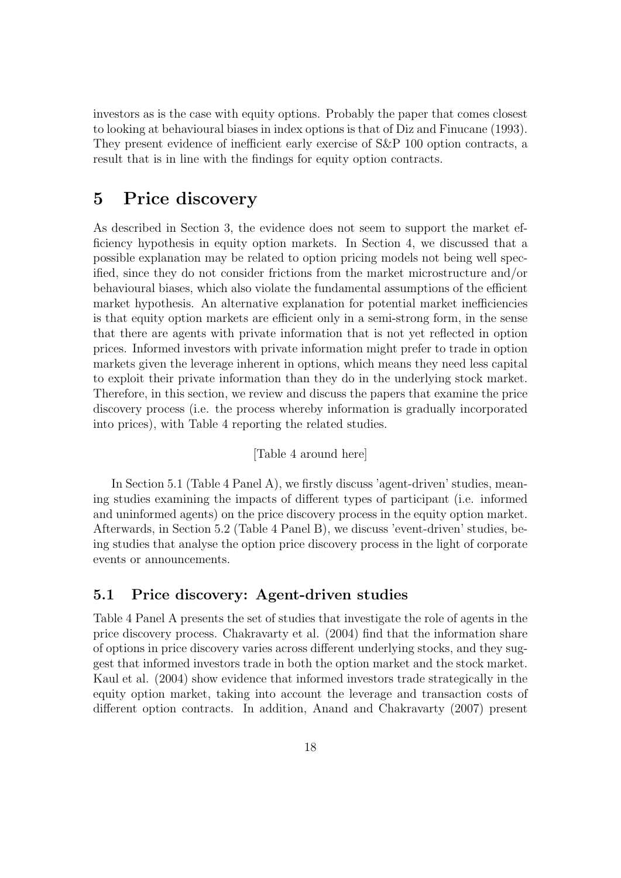investors as is the case with equity options. Probably the paper that comes closest to looking at behavioural biases in index options is that of Diz and Finucane (1993). They present evidence of inefficient early exercise of S&P 100 option contracts, a result that is in line with the findings for equity option contracts.

# 5 Price discovery

As described in Section 3, the evidence does not seem to support the market efficiency hypothesis in equity option markets. In Section 4, we discussed that a possible explanation may be related to option pricing models not being well specified, since they do not consider frictions from the market microstructure and/or behavioural biases, which also violate the fundamental assumptions of the efficient market hypothesis. An alternative explanation for potential market inefficiencies is that equity option markets are efficient only in a semi-strong form, in the sense that there are agents with private information that is not yet reflected in option prices. Informed investors with private information might prefer to trade in option markets given the leverage inherent in options, which means they need less capital to exploit their private information than they do in the underlying stock market. Therefore, in this section, we review and discuss the papers that examine the price discovery process (i.e. the process whereby information is gradually incorporated into prices), with Table 4 reporting the related studies.

[Table 4 around here]

In Section 5.1 (Table 4 Panel A), we firstly discuss 'agent-driven' studies, meaning studies examining the impacts of different types of participant (i.e. informed and uninformed agents) on the price discovery process in the equity option market. Afterwards, in Section 5.2 (Table 4 Panel B), we discuss 'event-driven' studies, being studies that analyse the option price discovery process in the light of corporate events or announcements.

#### 5.1 Price discovery: Agent-driven studies

Table 4 Panel A presents the set of studies that investigate the role of agents in the price discovery process. Chakravarty et al. (2004) find that the information share of options in price discovery varies across different underlying stocks, and they suggest that informed investors trade in both the option market and the stock market. Kaul et al. (2004) show evidence that informed investors trade strategically in the equity option market, taking into account the leverage and transaction costs of different option contracts. In addition, Anand and Chakravarty (2007) present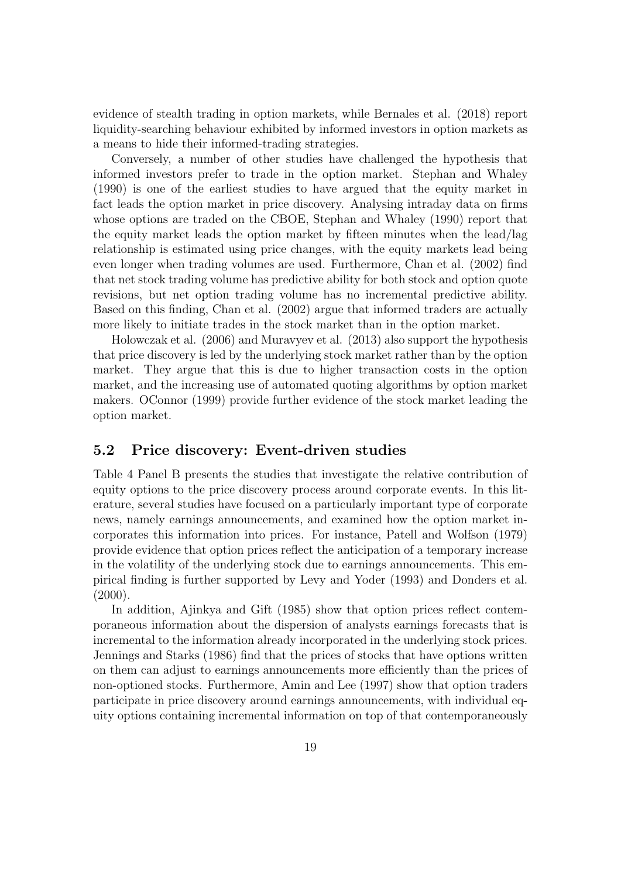evidence of stealth trading in option markets, while Bernales et al. (2018) report liquidity-searching behaviour exhibited by informed investors in option markets as a means to hide their informed-trading strategies.

Conversely, a number of other studies have challenged the hypothesis that informed investors prefer to trade in the option market. Stephan and Whaley (1990) is one of the earliest studies to have argued that the equity market in fact leads the option market in price discovery. Analysing intraday data on firms whose options are traded on the CBOE, Stephan and Whaley (1990) report that the equity market leads the option market by fifteen minutes when the lead/lag relationship is estimated using price changes, with the equity markets lead being even longer when trading volumes are used. Furthermore, Chan et al. (2002) find that net stock trading volume has predictive ability for both stock and option quote revisions, but net option trading volume has no incremental predictive ability. Based on this finding, Chan et al. (2002) argue that informed traders are actually more likely to initiate trades in the stock market than in the option market.

Holowczak et al. (2006) and Muravyev et al. (2013) also support the hypothesis that price discovery is led by the underlying stock market rather than by the option market. They argue that this is due to higher transaction costs in the option market, and the increasing use of automated quoting algorithms by option market makers. OConnor (1999) provide further evidence of the stock market leading the option market.

#### 5.2 Price discovery: Event-driven studies

Table 4 Panel B presents the studies that investigate the relative contribution of equity options to the price discovery process around corporate events. In this literature, several studies have focused on a particularly important type of corporate news, namely earnings announcements, and examined how the option market incorporates this information into prices. For instance, Patell and Wolfson (1979) provide evidence that option prices reflect the anticipation of a temporary increase in the volatility of the underlying stock due to earnings announcements. This empirical finding is further supported by Levy and Yoder (1993) and Donders et al.  $(2000).$ 

In addition, Ajinkya and Gift (1985) show that option prices reflect contemporaneous information about the dispersion of analysts earnings forecasts that is incremental to the information already incorporated in the underlying stock prices. Jennings and Starks (1986) find that the prices of stocks that have options written on them can adjust to earnings announcements more efficiently than the prices of non-optioned stocks. Furthermore, Amin and Lee (1997) show that option traders participate in price discovery around earnings announcements, with individual equity options containing incremental information on top of that contemporaneously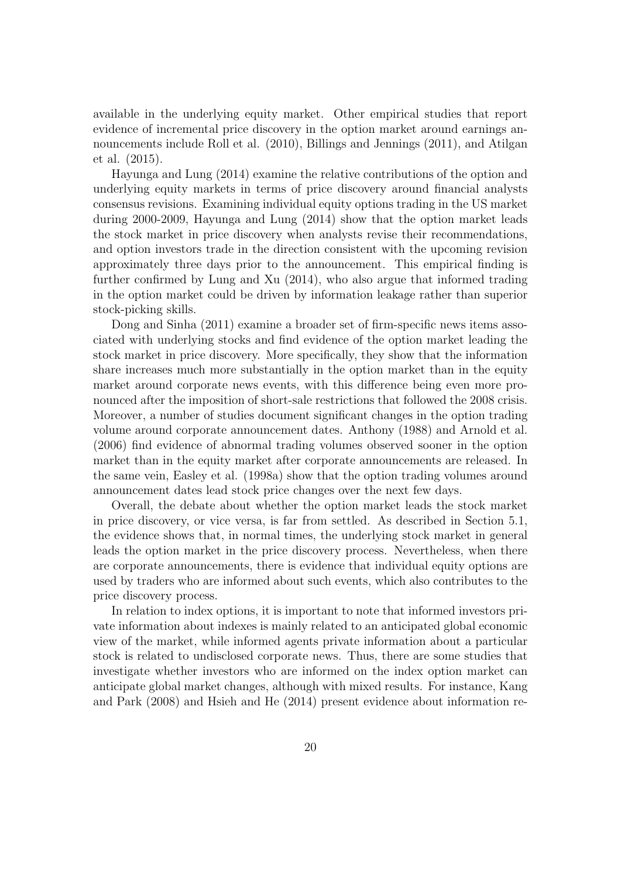available in the underlying equity market. Other empirical studies that report evidence of incremental price discovery in the option market around earnings announcements include Roll et al. (2010), Billings and Jennings (2011), and Atilgan et al. (2015).

Hayunga and Lung (2014) examine the relative contributions of the option and underlying equity markets in terms of price discovery around financial analysts consensus revisions. Examining individual equity options trading in the US market during 2000-2009, Hayunga and Lung (2014) show that the option market leads the stock market in price discovery when analysts revise their recommendations, and option investors trade in the direction consistent with the upcoming revision approximately three days prior to the announcement. This empirical finding is further confirmed by Lung and Xu (2014), who also argue that informed trading in the option market could be driven by information leakage rather than superior stock-picking skills.

Dong and Sinha (2011) examine a broader set of firm-specific news items associated with underlying stocks and find evidence of the option market leading the stock market in price discovery. More specifically, they show that the information share increases much more substantially in the option market than in the equity market around corporate news events, with this difference being even more pronounced after the imposition of short-sale restrictions that followed the 2008 crisis. Moreover, a number of studies document significant changes in the option trading volume around corporate announcement dates. Anthony (1988) and Arnold et al. (2006) find evidence of abnormal trading volumes observed sooner in the option market than in the equity market after corporate announcements are released. In the same vein, Easley et al. (1998a) show that the option trading volumes around announcement dates lead stock price changes over the next few days.

Overall, the debate about whether the option market leads the stock market in price discovery, or vice versa, is far from settled. As described in Section 5.1, the evidence shows that, in normal times, the underlying stock market in general leads the option market in the price discovery process. Nevertheless, when there are corporate announcements, there is evidence that individual equity options are used by traders who are informed about such events, which also contributes to the price discovery process.

In relation to index options, it is important to note that informed investors private information about indexes is mainly related to an anticipated global economic view of the market, while informed agents private information about a particular stock is related to undisclosed corporate news. Thus, there are some studies that investigate whether investors who are informed on the index option market can anticipate global market changes, although with mixed results. For instance, Kang and Park (2008) and Hsieh and He (2014) present evidence about information re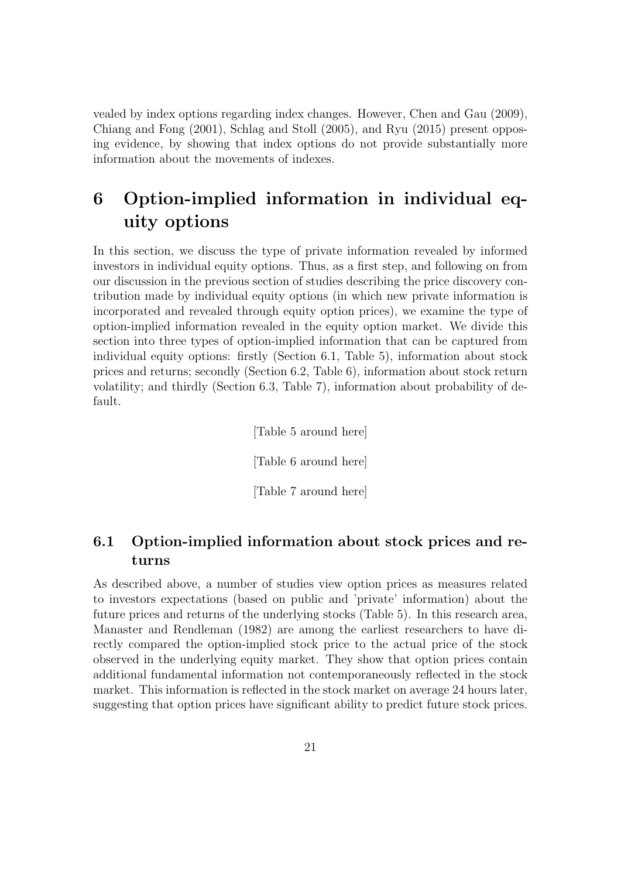vealed by index options regarding index changes. However, Chen and Gau (2009), Chiang and Fong (2001), Schlag and Stoll (2005), and Ryu (2015) present opposing evidence, by showing that index options do not provide substantially more information about the movements of indexes.

# 6 Option-implied information in individual equity options

In this section, we discuss the type of private information revealed by informed investors in individual equity options. Thus, as a first step, and following on from our discussion in the previous section of studies describing the price discovery contribution made by individual equity options (in which new private information is incorporated and revealed through equity option prices), we examine the type of option-implied information revealed in the equity option market. We divide this section into three types of option-implied information that can be captured from individual equity options: firstly (Section 6.1, Table 5), information about stock prices and returns; secondly (Section 6.2, Table 6), information about stock return volatility; and thirdly (Section 6.3, Table 7), information about probability of default.

> [Table 5 around here] [Table 6 around here] [Table 7 around here]

### 6.1 Option-implied information about stock prices and returns

As described above, a number of studies view option prices as measures related to investors expectations (based on public and 'private' information) about the future prices and returns of the underlying stocks (Table 5). In this research area, Manaster and Rendleman (1982) are among the earliest researchers to have directly compared the option-implied stock price to the actual price of the stock observed in the underlying equity market. They show that option prices contain additional fundamental information not contemporaneously reflected in the stock market. This information is reflected in the stock market on average 24 hours later, suggesting that option prices have significant ability to predict future stock prices.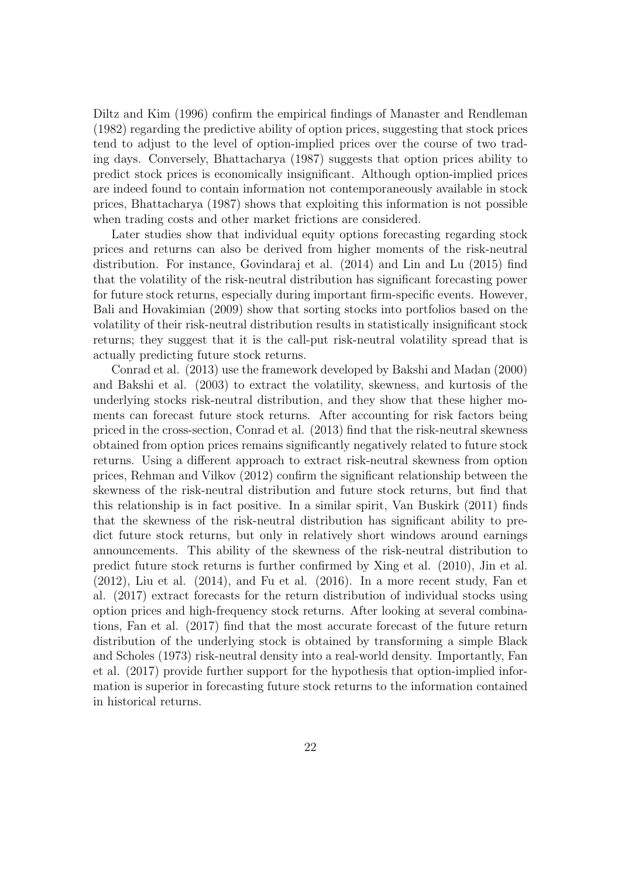Diltz and Kim (1996) confirm the empirical findings of Manaster and Rendleman (1982) regarding the predictive ability of option prices, suggesting that stock prices tend to adjust to the level of option-implied prices over the course of two trading days. Conversely, Bhattacharya (1987) suggests that option prices ability to predict stock prices is economically insignificant. Although option-implied prices are indeed found to contain information not contemporaneously available in stock prices, Bhattacharya (1987) shows that exploiting this information is not possible when trading costs and other market frictions are considered.

Later studies show that individual equity options forecasting regarding stock prices and returns can also be derived from higher moments of the risk-neutral distribution. For instance, Govindaraj et al. (2014) and Lin and Lu (2015) find that the volatility of the risk-neutral distribution has significant forecasting power for future stock returns, especially during important firm-specific events. However, Bali and Hovakimian (2009) show that sorting stocks into portfolios based on the volatility of their risk-neutral distribution results in statistically insignificant stock returns; they suggest that it is the call-put risk-neutral volatility spread that is actually predicting future stock returns.

Conrad et al. (2013) use the framework developed by Bakshi and Madan (2000) and Bakshi et al. (2003) to extract the volatility, skewness, and kurtosis of the underlying stocks risk-neutral distribution, and they show that these higher moments can forecast future stock returns. After accounting for risk factors being priced in the cross-section, Conrad et al. (2013) find that the risk-neutral skewness obtained from option prices remains significantly negatively related to future stock returns. Using a different approach to extract risk-neutral skewness from option prices, Rehman and Vilkov (2012) confirm the significant relationship between the skewness of the risk-neutral distribution and future stock returns, but find that this relationship is in fact positive. In a similar spirit, Van Buskirk (2011) finds that the skewness of the risk-neutral distribution has significant ability to predict future stock returns, but only in relatively short windows around earnings announcements. This ability of the skewness of the risk-neutral distribution to predict future stock returns is further confirmed by Xing et al. (2010), Jin et al.  $(2012)$ , Liu et al.  $(2014)$ , and Fu et al.  $(2016)$ . In a more recent study, Fan et al. (2017) extract forecasts for the return distribution of individual stocks using option prices and high-frequency stock returns. After looking at several combinations, Fan et al. (2017) find that the most accurate forecast of the future return distribution of the underlying stock is obtained by transforming a simple Black and Scholes (1973) risk-neutral density into a real-world density. Importantly, Fan et al. (2017) provide further support for the hypothesis that option-implied information is superior in forecasting future stock returns to the information contained in historical returns.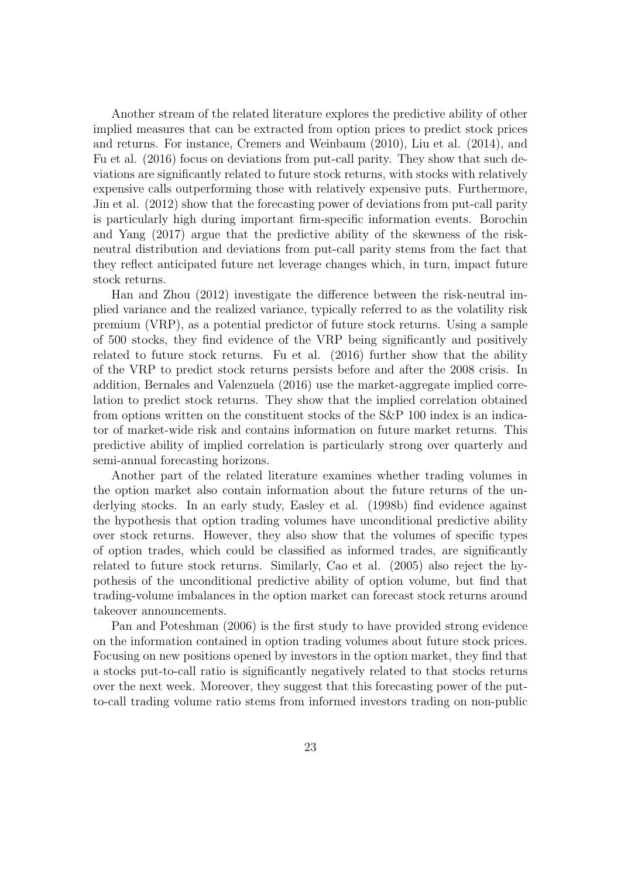Another stream of the related literature explores the predictive ability of other implied measures that can be extracted from option prices to predict stock prices and returns. For instance, Cremers and Weinbaum (2010), Liu et al. (2014), and Fu et al. (2016) focus on deviations from put-call parity. They show that such deviations are significantly related to future stock returns, with stocks with relatively expensive calls outperforming those with relatively expensive puts. Furthermore, Jin et al. (2012) show that the forecasting power of deviations from put-call parity is particularly high during important firm-specific information events. Borochin and Yang (2017) argue that the predictive ability of the skewness of the riskneutral distribution and deviations from put-call parity stems from the fact that they reflect anticipated future net leverage changes which, in turn, impact future stock returns.

Han and Zhou (2012) investigate the difference between the risk-neutral implied variance and the realized variance, typically referred to as the volatility risk premium (VRP), as a potential predictor of future stock returns. Using a sample of 500 stocks, they find evidence of the VRP being significantly and positively related to future stock returns. Fu et al. (2016) further show that the ability of the VRP to predict stock returns persists before and after the 2008 crisis. In addition, Bernales and Valenzuela (2016) use the market-aggregate implied correlation to predict stock returns. They show that the implied correlation obtained from options written on the constituent stocks of the S&P 100 index is an indicator of market-wide risk and contains information on future market returns. This predictive ability of implied correlation is particularly strong over quarterly and semi-annual forecasting horizons.

Another part of the related literature examines whether trading volumes in the option market also contain information about the future returns of the underlying stocks. In an early study, Easley et al. (1998b) find evidence against the hypothesis that option trading volumes have unconditional predictive ability over stock returns. However, they also show that the volumes of specific types of option trades, which could be classified as informed trades, are significantly related to future stock returns. Similarly, Cao et al. (2005) also reject the hypothesis of the unconditional predictive ability of option volume, but find that trading-volume imbalances in the option market can forecast stock returns around takeover announcements.

Pan and Poteshman (2006) is the first study to have provided strong evidence on the information contained in option trading volumes about future stock prices. Focusing on new positions opened by investors in the option market, they find that a stocks put-to-call ratio is significantly negatively related to that stocks returns over the next week. Moreover, they suggest that this forecasting power of the putto-call trading volume ratio stems from informed investors trading on non-public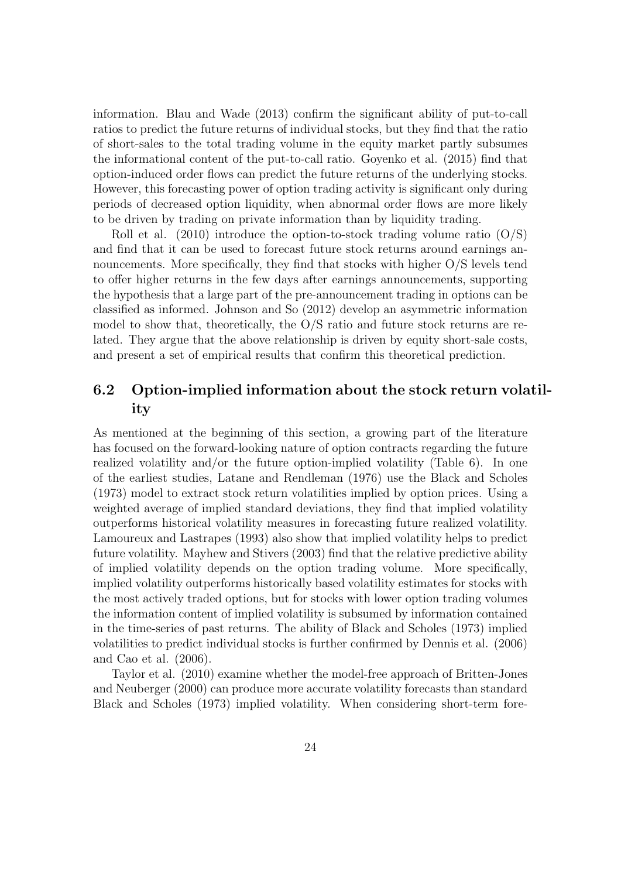information. Blau and Wade (2013) confirm the significant ability of put-to-call ratios to predict the future returns of individual stocks, but they find that the ratio of short-sales to the total trading volume in the equity market partly subsumes the informational content of the put-to-call ratio. Goyenko et al. (2015) find that option-induced order flows can predict the future returns of the underlying stocks. However, this forecasting power of option trading activity is significant only during periods of decreased option liquidity, when abnormal order flows are more likely to be driven by trading on private information than by liquidity trading.

Roll et al.  $(2010)$  introduce the option-to-stock trading volume ratio  $(O/S)$ and find that it can be used to forecast future stock returns around earnings announcements. More specifically, they find that stocks with higher O/S levels tend to offer higher returns in the few days after earnings announcements, supporting the hypothesis that a large part of the pre-announcement trading in options can be classified as informed. Johnson and So (2012) develop an asymmetric information model to show that, theoretically, the O/S ratio and future stock returns are related. They argue that the above relationship is driven by equity short-sale costs, and present a set of empirical results that confirm this theoretical prediction.

#### 6.2 Option-implied information about the stock return volatility

As mentioned at the beginning of this section, a growing part of the literature has focused on the forward-looking nature of option contracts regarding the future realized volatility and/or the future option-implied volatility (Table 6). In one of the earliest studies, Latane and Rendleman (1976) use the Black and Scholes (1973) model to extract stock return volatilities implied by option prices. Using a weighted average of implied standard deviations, they find that implied volatility outperforms historical volatility measures in forecasting future realized volatility. Lamoureux and Lastrapes (1993) also show that implied volatility helps to predict future volatility. Mayhew and Stivers (2003) find that the relative predictive ability of implied volatility depends on the option trading volume. More specifically, implied volatility outperforms historically based volatility estimates for stocks with the most actively traded options, but for stocks with lower option trading volumes the information content of implied volatility is subsumed by information contained in the time-series of past returns. The ability of Black and Scholes (1973) implied volatilities to predict individual stocks is further confirmed by Dennis et al. (2006) and Cao et al. (2006).

Taylor et al. (2010) examine whether the model-free approach of Britten-Jones and Neuberger (2000) can produce more accurate volatility forecasts than standard Black and Scholes (1973) implied volatility. When considering short-term fore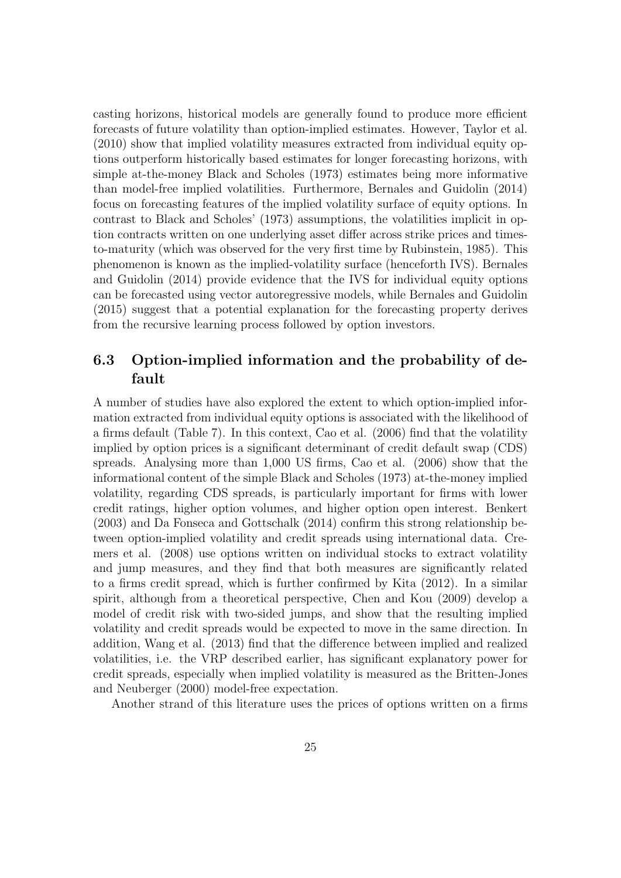casting horizons, historical models are generally found to produce more efficient forecasts of future volatility than option-implied estimates. However, Taylor et al. (2010) show that implied volatility measures extracted from individual equity options outperform historically based estimates for longer forecasting horizons, with simple at-the-money Black and Scholes (1973) estimates being more informative than model-free implied volatilities. Furthermore, Bernales and Guidolin (2014) focus on forecasting features of the implied volatility surface of equity options. In contrast to Black and Scholes' (1973) assumptions, the volatilities implicit in option contracts written on one underlying asset differ across strike prices and timesto-maturity (which was observed for the very first time by Rubinstein, 1985). This phenomenon is known as the implied-volatility surface (henceforth IVS). Bernales and Guidolin (2014) provide evidence that the IVS for individual equity options can be forecasted using vector autoregressive models, while Bernales and Guidolin (2015) suggest that a potential explanation for the forecasting property derives from the recursive learning process followed by option investors.

#### 6.3 Option-implied information and the probability of default

A number of studies have also explored the extent to which option-implied information extracted from individual equity options is associated with the likelihood of a firms default (Table 7). In this context, Cao et al. (2006) find that the volatility implied by option prices is a significant determinant of credit default swap (CDS) spreads. Analysing more than 1,000 US firms, Cao et al. (2006) show that the informational content of the simple Black and Scholes (1973) at-the-money implied volatility, regarding CDS spreads, is particularly important for firms with lower credit ratings, higher option volumes, and higher option open interest. Benkert (2003) and Da Fonseca and Gottschalk (2014) confirm this strong relationship between option-implied volatility and credit spreads using international data. Cremers et al. (2008) use options written on individual stocks to extract volatility and jump measures, and they find that both measures are significantly related to a firms credit spread, which is further confirmed by Kita (2012). In a similar spirit, although from a theoretical perspective, Chen and Kou (2009) develop a model of credit risk with two-sided jumps, and show that the resulting implied volatility and credit spreads would be expected to move in the same direction. In addition, Wang et al. (2013) find that the difference between implied and realized volatilities, i.e. the VRP described earlier, has significant explanatory power for credit spreads, especially when implied volatility is measured as the Britten-Jones and Neuberger (2000) model-free expectation.

Another strand of this literature uses the prices of options written on a firms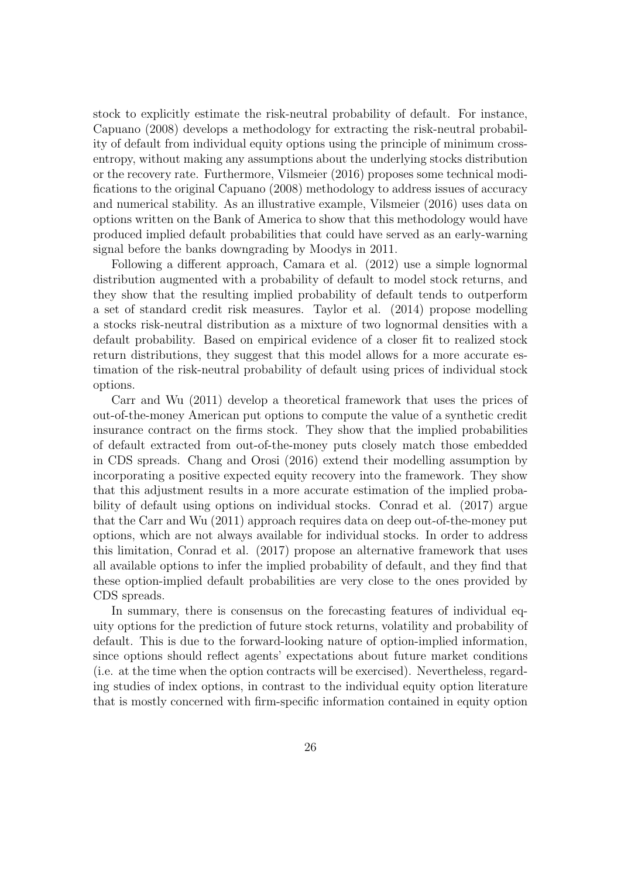stock to explicitly estimate the risk-neutral probability of default. For instance, Capuano (2008) develops a methodology for extracting the risk-neutral probability of default from individual equity options using the principle of minimum crossentropy, without making any assumptions about the underlying stocks distribution or the recovery rate. Furthermore, Vilsmeier (2016) proposes some technical modifications to the original Capuano (2008) methodology to address issues of accuracy and numerical stability. As an illustrative example, Vilsmeier (2016) uses data on options written on the Bank of America to show that this methodology would have produced implied default probabilities that could have served as an early-warning signal before the banks downgrading by Moodys in 2011.

Following a different approach, Camara et al. (2012) use a simple lognormal distribution augmented with a probability of default to model stock returns, and they show that the resulting implied probability of default tends to outperform a set of standard credit risk measures. Taylor et al. (2014) propose modelling a stocks risk-neutral distribution as a mixture of two lognormal densities with a default probability. Based on empirical evidence of a closer fit to realized stock return distributions, they suggest that this model allows for a more accurate estimation of the risk-neutral probability of default using prices of individual stock options.

Carr and Wu (2011) develop a theoretical framework that uses the prices of out-of-the-money American put options to compute the value of a synthetic credit insurance contract on the firms stock. They show that the implied probabilities of default extracted from out-of-the-money puts closely match those embedded in CDS spreads. Chang and Orosi (2016) extend their modelling assumption by incorporating a positive expected equity recovery into the framework. They show that this adjustment results in a more accurate estimation of the implied probability of default using options on individual stocks. Conrad et al. (2017) argue that the Carr and Wu (2011) approach requires data on deep out-of-the-money put options, which are not always available for individual stocks. In order to address this limitation, Conrad et al. (2017) propose an alternative framework that uses all available options to infer the implied probability of default, and they find that these option-implied default probabilities are very close to the ones provided by CDS spreads.

In summary, there is consensus on the forecasting features of individual equity options for the prediction of future stock returns, volatility and probability of default. This is due to the forward-looking nature of option-implied information, since options should reflect agents' expectations about future market conditions (i.e. at the time when the option contracts will be exercised). Nevertheless, regarding studies of index options, in contrast to the individual equity option literature that is mostly concerned with firm-specific information contained in equity option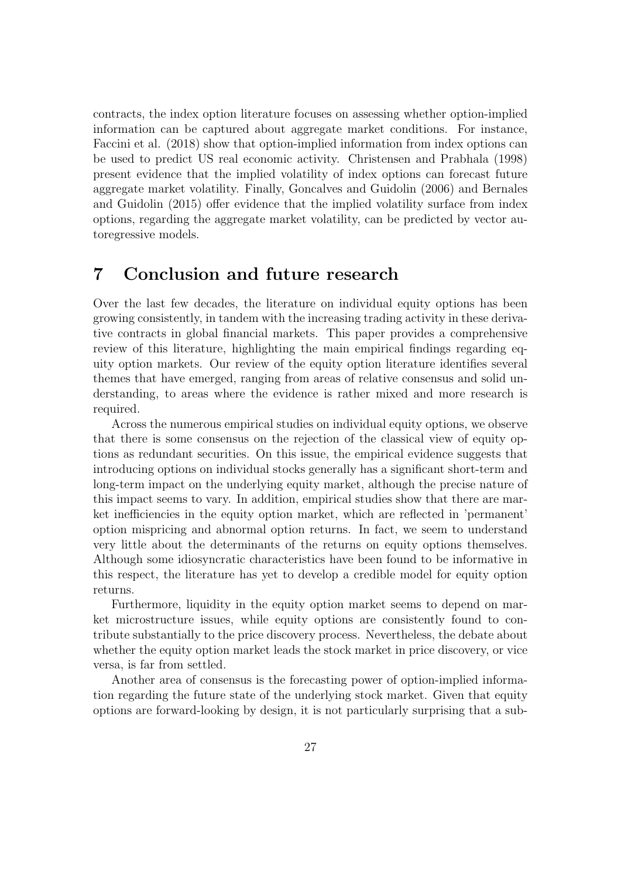contracts, the index option literature focuses on assessing whether option-implied information can be captured about aggregate market conditions. For instance, Faccini et al. (2018) show that option-implied information from index options can be used to predict US real economic activity. Christensen and Prabhala (1998) present evidence that the implied volatility of index options can forecast future aggregate market volatility. Finally, Goncalves and Guidolin (2006) and Bernales and Guidolin (2015) offer evidence that the implied volatility surface from index options, regarding the aggregate market volatility, can be predicted by vector autoregressive models.

## 7 Conclusion and future research

Over the last few decades, the literature on individual equity options has been growing consistently, in tandem with the increasing trading activity in these derivative contracts in global financial markets. This paper provides a comprehensive review of this literature, highlighting the main empirical findings regarding equity option markets. Our review of the equity option literature identifies several themes that have emerged, ranging from areas of relative consensus and solid understanding, to areas where the evidence is rather mixed and more research is required.

Across the numerous empirical studies on individual equity options, we observe that there is some consensus on the rejection of the classical view of equity options as redundant securities. On this issue, the empirical evidence suggests that introducing options on individual stocks generally has a significant short-term and long-term impact on the underlying equity market, although the precise nature of this impact seems to vary. In addition, empirical studies show that there are market inefficiencies in the equity option market, which are reflected in 'permanent' option mispricing and abnormal option returns. In fact, we seem to understand very little about the determinants of the returns on equity options themselves. Although some idiosyncratic characteristics have been found to be informative in this respect, the literature has yet to develop a credible model for equity option returns.

Furthermore, liquidity in the equity option market seems to depend on market microstructure issues, while equity options are consistently found to contribute substantially to the price discovery process. Nevertheless, the debate about whether the equity option market leads the stock market in price discovery, or vice versa, is far from settled.

Another area of consensus is the forecasting power of option-implied information regarding the future state of the underlying stock market. Given that equity options are forward-looking by design, it is not particularly surprising that a sub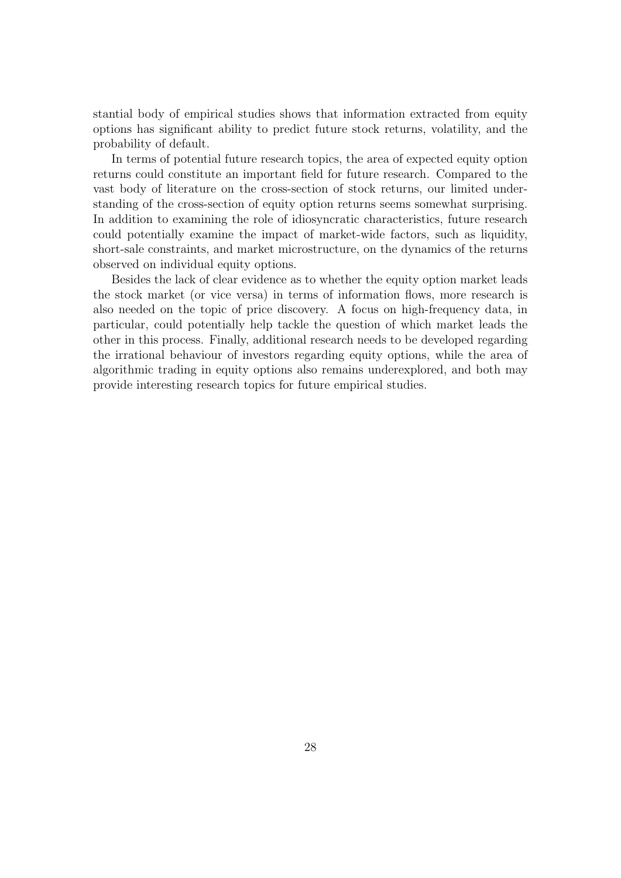stantial body of empirical studies shows that information extracted from equity options has significant ability to predict future stock returns, volatility, and the probability of default.

In terms of potential future research topics, the area of expected equity option returns could constitute an important field for future research. Compared to the vast body of literature on the cross-section of stock returns, our limited understanding of the cross-section of equity option returns seems somewhat surprising. In addition to examining the role of idiosyncratic characteristics, future research could potentially examine the impact of market-wide factors, such as liquidity, short-sale constraints, and market microstructure, on the dynamics of the returns observed on individual equity options.

Besides the lack of clear evidence as to whether the equity option market leads the stock market (or vice versa) in terms of information flows, more research is also needed on the topic of price discovery. A focus on high-frequency data, in particular, could potentially help tackle the question of which market leads the other in this process. Finally, additional research needs to be developed regarding the irrational behaviour of investors regarding equity options, while the area of algorithmic trading in equity options also remains underexplored, and both may provide interesting research topics for future empirical studies.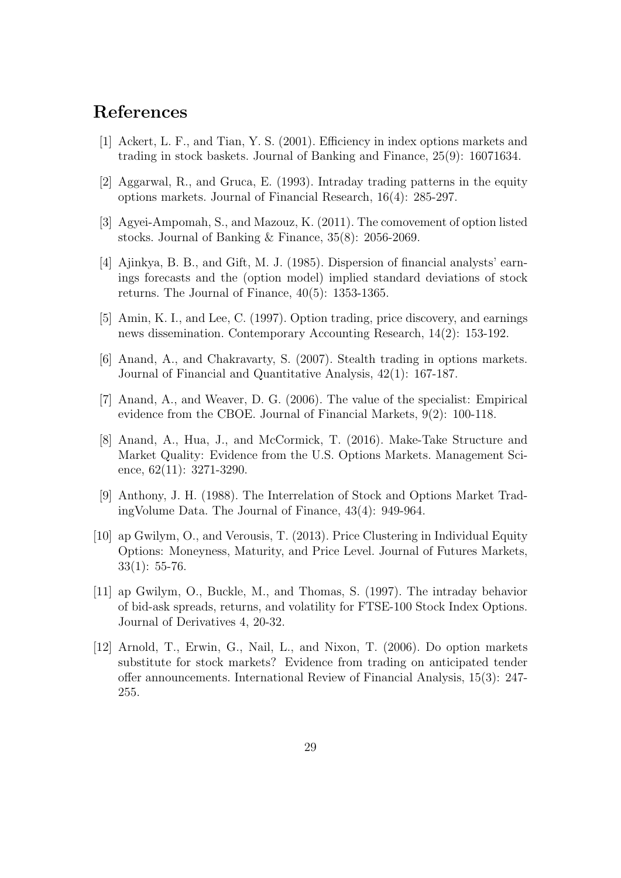# References

- [1] Ackert, L. F., and Tian, Y. S. (2001). Efficiency in index options markets and trading in stock baskets. Journal of Banking and Finance, 25(9): 16071634.
- [2] Aggarwal, R., and Gruca, E. (1993). Intraday trading patterns in the equity options markets. Journal of Financial Research, 16(4): 285-297.
- [3] Agyei-Ampomah, S., and Mazouz, K. (2011). The comovement of option listed stocks. Journal of Banking & Finance, 35(8): 2056-2069.
- [4] Ajinkya, B. B., and Gift, M. J. (1985). Dispersion of financial analysts' earnings forecasts and the (option model) implied standard deviations of stock returns. The Journal of Finance, 40(5): 1353-1365.
- [5] Amin, K. I., and Lee, C. (1997). Option trading, price discovery, and earnings news dissemination. Contemporary Accounting Research, 14(2): 153-192.
- [6] Anand, A., and Chakravarty, S. (2007). Stealth trading in options markets. Journal of Financial and Quantitative Analysis, 42(1): 167-187.
- [7] Anand, A., and Weaver, D. G. (2006). The value of the specialist: Empirical evidence from the CBOE. Journal of Financial Markets, 9(2): 100-118.
- [8] Anand, A., Hua, J., and McCormick, T. (2016). Make-Take Structure and Market Quality: Evidence from the U.S. Options Markets. Management Science, 62(11): 3271-3290.
- [9] Anthony, J. H. (1988). The Interrelation of Stock and Options Market TradingVolume Data. The Journal of Finance, 43(4): 949-964.
- [10] ap Gwilym, O., and Verousis, T. (2013). Price Clustering in Individual Equity Options: Moneyness, Maturity, and Price Level. Journal of Futures Markets, 33(1): 55-76.
- [11] ap Gwilym, O., Buckle, M., and Thomas, S. (1997). The intraday behavior of bid-ask spreads, returns, and volatility for FTSE-100 Stock Index Options. Journal of Derivatives 4, 20-32.
- [12] Arnold, T., Erwin, G., Nail, L., and Nixon, T. (2006). Do option markets substitute for stock markets? Evidence from trading on anticipated tender offer announcements. International Review of Financial Analysis, 15(3): 247- 255.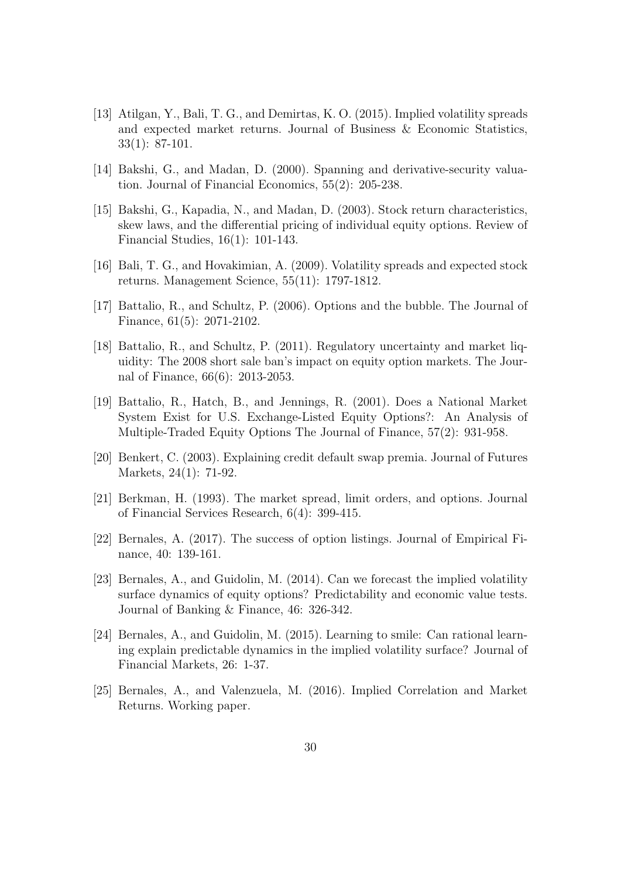- [13] Atilgan, Y., Bali, T. G., and Demirtas, K. O. (2015). Implied volatility spreads and expected market returns. Journal of Business & Economic Statistics, 33(1): 87-101.
- [14] Bakshi, G., and Madan, D. (2000). Spanning and derivative-security valuation. Journal of Financial Economics, 55(2): 205-238.
- [15] Bakshi, G., Kapadia, N., and Madan, D. (2003). Stock return characteristics, skew laws, and the differential pricing of individual equity options. Review of Financial Studies, 16(1): 101-143.
- [16] Bali, T. G., and Hovakimian, A. (2009). Volatility spreads and expected stock returns. Management Science, 55(11): 1797-1812.
- [17] Battalio, R., and Schultz, P. (2006). Options and the bubble. The Journal of Finance, 61(5): 2071-2102.
- [18] Battalio, R., and Schultz, P. (2011). Regulatory uncertainty and market liquidity: The 2008 short sale ban's impact on equity option markets. The Journal of Finance, 66(6): 2013-2053.
- [19] Battalio, R., Hatch, B., and Jennings, R. (2001). Does a National Market System Exist for U.S. Exchange-Listed Equity Options?: An Analysis of Multiple-Traded Equity Options The Journal of Finance, 57(2): 931-958.
- [20] Benkert, C. (2003). Explaining credit default swap premia. Journal of Futures Markets, 24(1): 71-92.
- [21] Berkman, H. (1993). The market spread, limit orders, and options. Journal of Financial Services Research, 6(4): 399-415.
- [22] Bernales, A. (2017). The success of option listings. Journal of Empirical Finance, 40: 139-161.
- [23] Bernales, A., and Guidolin, M. (2014). Can we forecast the implied volatility surface dynamics of equity options? Predictability and economic value tests. Journal of Banking & Finance, 46: 326-342.
- [24] Bernales, A., and Guidolin, M. (2015). Learning to smile: Can rational learning explain predictable dynamics in the implied volatility surface? Journal of Financial Markets, 26: 1-37.
- [25] Bernales, A., and Valenzuela, M. (2016). Implied Correlation and Market Returns. Working paper.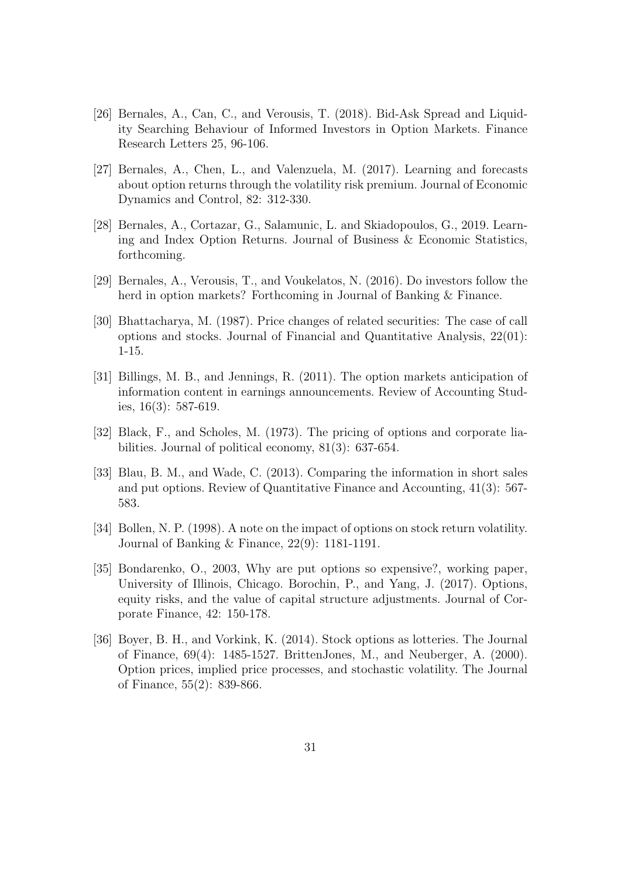- [26] Bernales, A., Can, C., and Verousis, T. (2018). Bid-Ask Spread and Liquidity Searching Behaviour of Informed Investors in Option Markets. Finance Research Letters 25, 96-106.
- [27] Bernales, A., Chen, L., and Valenzuela, M. (2017). Learning and forecasts about option returns through the volatility risk premium. Journal of Economic Dynamics and Control, 82: 312-330.
- [28] Bernales, A., Cortazar, G., Salamunic, L. and Skiadopoulos, G., 2019. Learning and Index Option Returns. Journal of Business & Economic Statistics, forthcoming.
- [29] Bernales, A., Verousis, T., and Voukelatos, N. (2016). Do investors follow the herd in option markets? Forthcoming in Journal of Banking & Finance.
- [30] Bhattacharya, M. (1987). Price changes of related securities: The case of call options and stocks. Journal of Financial and Quantitative Analysis, 22(01): 1-15.
- [31] Billings, M. B., and Jennings, R. (2011). The option markets anticipation of information content in earnings announcements. Review of Accounting Studies, 16(3): 587-619.
- [32] Black, F., and Scholes, M. (1973). The pricing of options and corporate liabilities. Journal of political economy, 81(3): 637-654.
- [33] Blau, B. M., and Wade, C. (2013). Comparing the information in short sales and put options. Review of Quantitative Finance and Accounting, 41(3): 567- 583.
- [34] Bollen, N. P. (1998). A note on the impact of options on stock return volatility. Journal of Banking & Finance, 22(9): 1181-1191.
- [35] Bondarenko, O., 2003, Why are put options so expensive?, working paper, University of Illinois, Chicago. Borochin, P., and Yang, J. (2017). Options, equity risks, and the value of capital structure adjustments. Journal of Corporate Finance, 42: 150-178.
- [36] Boyer, B. H., and Vorkink, K. (2014). Stock options as lotteries. The Journal of Finance, 69(4): 1485-1527. BrittenJones, M., and Neuberger, A. (2000). Option prices, implied price processes, and stochastic volatility. The Journal of Finance, 55(2): 839-866.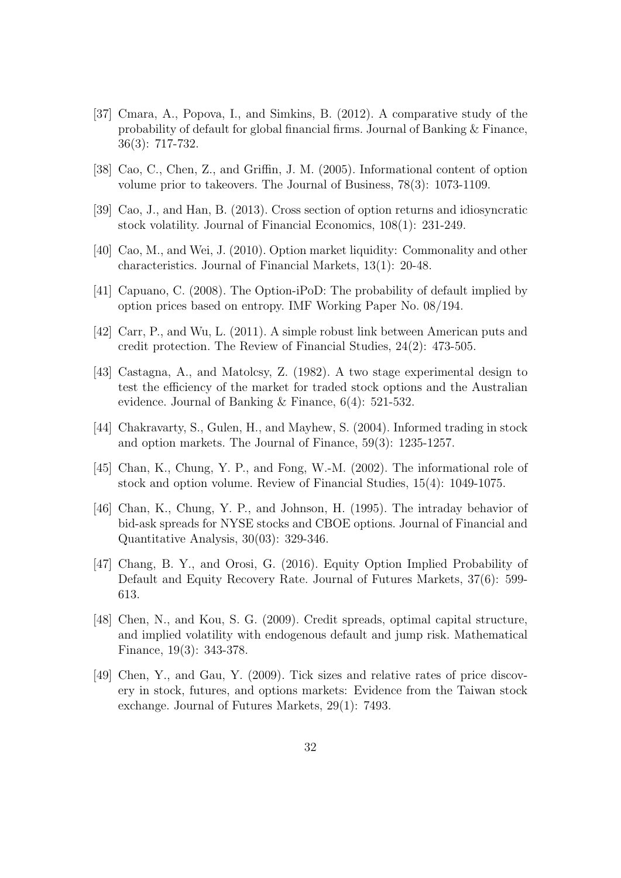- [37] Cmara, A., Popova, I., and Simkins, B. (2012). A comparative study of the probability of default for global financial firms. Journal of Banking & Finance, 36(3): 717-732.
- [38] Cao, C., Chen, Z., and Griffin, J. M. (2005). Informational content of option volume prior to takeovers. The Journal of Business, 78(3): 1073-1109.
- [39] Cao, J., and Han, B. (2013). Cross section of option returns and idiosyncratic stock volatility. Journal of Financial Economics, 108(1): 231-249.
- [40] Cao, M., and Wei, J. (2010). Option market liquidity: Commonality and other characteristics. Journal of Financial Markets, 13(1): 20-48.
- [41] Capuano, C. (2008). The Option-iPoD: The probability of default implied by option prices based on entropy. IMF Working Paper No. 08/194.
- [42] Carr, P., and Wu, L. (2011). A simple robust link between American puts and credit protection. The Review of Financial Studies, 24(2): 473-505.
- [43] Castagna, A., and Matolcsy, Z. (1982). A two stage experimental design to test the efficiency of the market for traded stock options and the Australian evidence. Journal of Banking & Finance, 6(4): 521-532.
- [44] Chakravarty, S., Gulen, H., and Mayhew, S. (2004). Informed trading in stock and option markets. The Journal of Finance, 59(3): 1235-1257.
- [45] Chan, K., Chung, Y. P., and Fong, W.-M. (2002). The informational role of stock and option volume. Review of Financial Studies, 15(4): 1049-1075.
- [46] Chan, K., Chung, Y. P., and Johnson, H. (1995). The intraday behavior of bid-ask spreads for NYSE stocks and CBOE options. Journal of Financial and Quantitative Analysis, 30(03): 329-346.
- [47] Chang, B. Y., and Orosi, G. (2016). Equity Option Implied Probability of Default and Equity Recovery Rate. Journal of Futures Markets, 37(6): 599- 613.
- [48] Chen, N., and Kou, S. G. (2009). Credit spreads, optimal capital structure, and implied volatility with endogenous default and jump risk. Mathematical Finance, 19(3): 343-378.
- [49] Chen, Y., and Gau, Y. (2009). Tick sizes and relative rates of price discovery in stock, futures, and options markets: Evidence from the Taiwan stock exchange. Journal of Futures Markets, 29(1): 7493.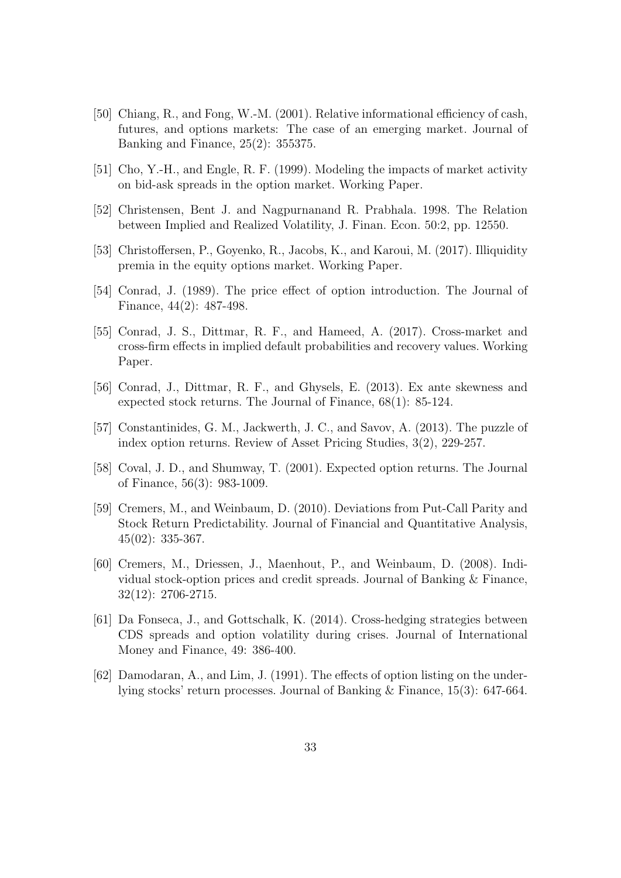- [50] Chiang, R., and Fong, W.-M. (2001). Relative informational efficiency of cash, futures, and options markets: The case of an emerging market. Journal of Banking and Finance, 25(2): 355375.
- [51] Cho, Y.-H., and Engle, R. F. (1999). Modeling the impacts of market activity on bid-ask spreads in the option market. Working Paper.
- [52] Christensen, Bent J. and Nagpurnanand R. Prabhala. 1998. The Relation between Implied and Realized Volatility, J. Finan. Econ. 50:2, pp. 12550.
- [53] Christoffersen, P., Goyenko, R., Jacobs, K., and Karoui, M. (2017). Illiquidity premia in the equity options market. Working Paper.
- [54] Conrad, J. (1989). The price effect of option introduction. The Journal of Finance, 44(2): 487-498.
- [55] Conrad, J. S., Dittmar, R. F., and Hameed, A. (2017). Cross-market and cross-firm effects in implied default probabilities and recovery values. Working Paper.
- [56] Conrad, J., Dittmar, R. F., and Ghysels, E. (2013). Ex ante skewness and expected stock returns. The Journal of Finance, 68(1): 85-124.
- [57] Constantinides, G. M., Jackwerth, J. C., and Savov, A. (2013). The puzzle of index option returns. Review of Asset Pricing Studies, 3(2), 229-257.
- [58] Coval, J. D., and Shumway, T. (2001). Expected option returns. The Journal of Finance, 56(3): 983-1009.
- [59] Cremers, M., and Weinbaum, D. (2010). Deviations from Put-Call Parity and Stock Return Predictability. Journal of Financial and Quantitative Analysis, 45(02): 335-367.
- [60] Cremers, M., Driessen, J., Maenhout, P., and Weinbaum, D. (2008). Individual stock-option prices and credit spreads. Journal of Banking & Finance, 32(12): 2706-2715.
- [61] Da Fonseca, J., and Gottschalk, K. (2014). Cross-hedging strategies between CDS spreads and option volatility during crises. Journal of International Money and Finance, 49: 386-400.
- [62] Damodaran, A., and Lim, J. (1991). The effects of option listing on the underlying stocks' return processes. Journal of Banking & Finance, 15(3): 647-664.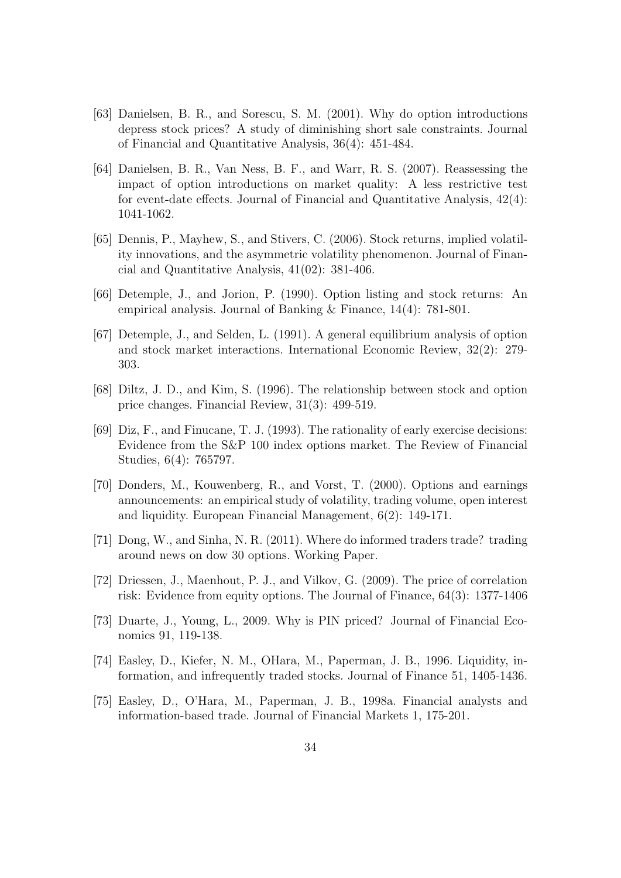- [63] Danielsen, B. R., and Sorescu, S. M. (2001). Why do option introductions depress stock prices? A study of diminishing short sale constraints. Journal of Financial and Quantitative Analysis, 36(4): 451-484.
- [64] Danielsen, B. R., Van Ness, B. F., and Warr, R. S. (2007). Reassessing the impact of option introductions on market quality: A less restrictive test for event-date effects. Journal of Financial and Quantitative Analysis, 42(4): 1041-1062.
- [65] Dennis, P., Mayhew, S., and Stivers, C. (2006). Stock returns, implied volatility innovations, and the asymmetric volatility phenomenon. Journal of Financial and Quantitative Analysis, 41(02): 381-406.
- [66] Detemple, J., and Jorion, P. (1990). Option listing and stock returns: An empirical analysis. Journal of Banking & Finance, 14(4): 781-801.
- [67] Detemple, J., and Selden, L. (1991). A general equilibrium analysis of option and stock market interactions. International Economic Review, 32(2): 279- 303.
- [68] Diltz, J. D., and Kim, S. (1996). The relationship between stock and option price changes. Financial Review, 31(3): 499-519.
- [69] Diz, F., and Finucane, T. J. (1993). The rationality of early exercise decisions: Evidence from the S&P 100 index options market. The Review of Financial Studies, 6(4): 765797.
- [70] Donders, M., Kouwenberg, R., and Vorst, T. (2000). Options and earnings announcements: an empirical study of volatility, trading volume, open interest and liquidity. European Financial Management, 6(2): 149-171.
- [71] Dong, W., and Sinha, N. R. (2011). Where do informed traders trade? trading around news on dow 30 options. Working Paper.
- [72] Driessen, J., Maenhout, P. J., and Vilkov, G. (2009). The price of correlation risk: Evidence from equity options. The Journal of Finance, 64(3): 1377-1406
- [73] Duarte, J., Young, L., 2009. Why is PIN priced? Journal of Financial Economics 91, 119-138.
- [74] Easley, D., Kiefer, N. M., OHara, M., Paperman, J. B., 1996. Liquidity, information, and infrequently traded stocks. Journal of Finance 51, 1405-1436.
- [75] Easley, D., O'Hara, M., Paperman, J. B., 1998a. Financial analysts and information-based trade. Journal of Financial Markets 1, 175-201.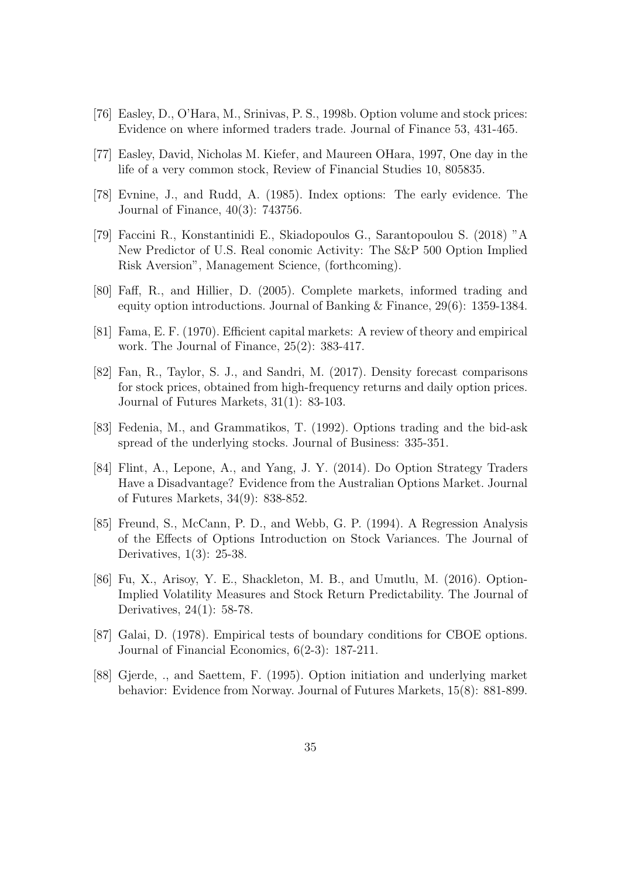- [76] Easley, D., O'Hara, M., Srinivas, P. S., 1998b. Option volume and stock prices: Evidence on where informed traders trade. Journal of Finance 53, 431-465.
- [77] Easley, David, Nicholas M. Kiefer, and Maureen OHara, 1997, One day in the life of a very common stock, Review of Financial Studies 10, 805835.
- [78] Evnine, J., and Rudd, A. (1985). Index options: The early evidence. The Journal of Finance, 40(3): 743756.
- [79] Faccini R., Konstantinidi E., Skiadopoulos G., Sarantopoulou S. (2018) "A New Predictor of U.S. Real conomic Activity: The S&P 500 Option Implied Risk Aversion", Management Science, (forthcoming).
- [80] Faff, R., and Hillier, D. (2005). Complete markets, informed trading and equity option introductions. Journal of Banking & Finance, 29(6): 1359-1384.
- [81] Fama, E. F. (1970). Efficient capital markets: A review of theory and empirical work. The Journal of Finance, 25(2): 383-417.
- [82] Fan, R., Taylor, S. J., and Sandri, M. (2017). Density forecast comparisons for stock prices, obtained from high-frequency returns and daily option prices. Journal of Futures Markets, 31(1): 83-103.
- [83] Fedenia, M., and Grammatikos, T. (1992). Options trading and the bid-ask spread of the underlying stocks. Journal of Business: 335-351.
- [84] Flint, A., Lepone, A., and Yang, J. Y. (2014). Do Option Strategy Traders Have a Disadvantage? Evidence from the Australian Options Market. Journal of Futures Markets, 34(9): 838-852.
- [85] Freund, S., McCann, P. D., and Webb, G. P. (1994). A Regression Analysis of the Effects of Options Introduction on Stock Variances. The Journal of Derivatives, 1(3): 25-38.
- [86] Fu, X., Arisoy, Y. E., Shackleton, M. B., and Umutlu, M. (2016). Option-Implied Volatility Measures and Stock Return Predictability. The Journal of Derivatives, 24(1): 58-78.
- [87] Galai, D. (1978). Empirical tests of boundary conditions for CBOE options. Journal of Financial Economics, 6(2-3): 187-211.
- [88] Gjerde, ., and Saettem, F. (1995). Option initiation and underlying market behavior: Evidence from Norway. Journal of Futures Markets, 15(8): 881-899.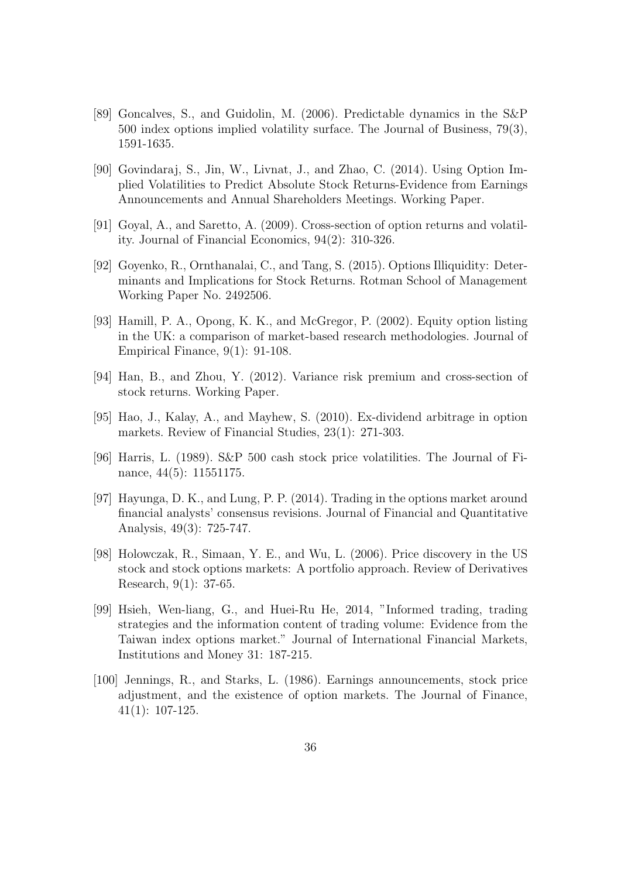- [89] Goncalves, S., and Guidolin, M. (2006). Predictable dynamics in the S&P 500 index options implied volatility surface. The Journal of Business, 79(3), 1591-1635.
- [90] Govindaraj, S., Jin, W., Livnat, J., and Zhao, C. (2014). Using Option Implied Volatilities to Predict Absolute Stock Returns-Evidence from Earnings Announcements and Annual Shareholders Meetings. Working Paper.
- [91] Goyal, A., and Saretto, A. (2009). Cross-section of option returns and volatility. Journal of Financial Economics, 94(2): 310-326.
- [92] Goyenko, R., Ornthanalai, C., and Tang, S. (2015). Options Illiquidity: Determinants and Implications for Stock Returns. Rotman School of Management Working Paper No. 2492506.
- [93] Hamill, P. A., Opong, K. K., and McGregor, P. (2002). Equity option listing in the UK: a comparison of market-based research methodologies. Journal of Empirical Finance, 9(1): 91-108.
- [94] Han, B., and Zhou, Y. (2012). Variance risk premium and cross-section of stock returns. Working Paper.
- [95] Hao, J., Kalay, A., and Mayhew, S. (2010). Ex-dividend arbitrage in option markets. Review of Financial Studies, 23(1): 271-303.
- [96] Harris, L. (1989). S&P 500 cash stock price volatilities. The Journal of Finance, 44(5): 11551175.
- [97] Hayunga, D. K., and Lung, P. P. (2014). Trading in the options market around financial analysts' consensus revisions. Journal of Financial and Quantitative Analysis, 49(3): 725-747.
- [98] Holowczak, R., Simaan, Y. E., and Wu, L. (2006). Price discovery in the US stock and stock options markets: A portfolio approach. Review of Derivatives Research, 9(1): 37-65.
- [99] Hsieh, Wen-liang, G., and Huei-Ru He, 2014, "Informed trading, trading strategies and the information content of trading volume: Evidence from the Taiwan index options market." Journal of International Financial Markets, Institutions and Money 31: 187-215.
- [100] Jennings, R., and Starks, L. (1986). Earnings announcements, stock price adjustment, and the existence of option markets. The Journal of Finance, 41(1): 107-125.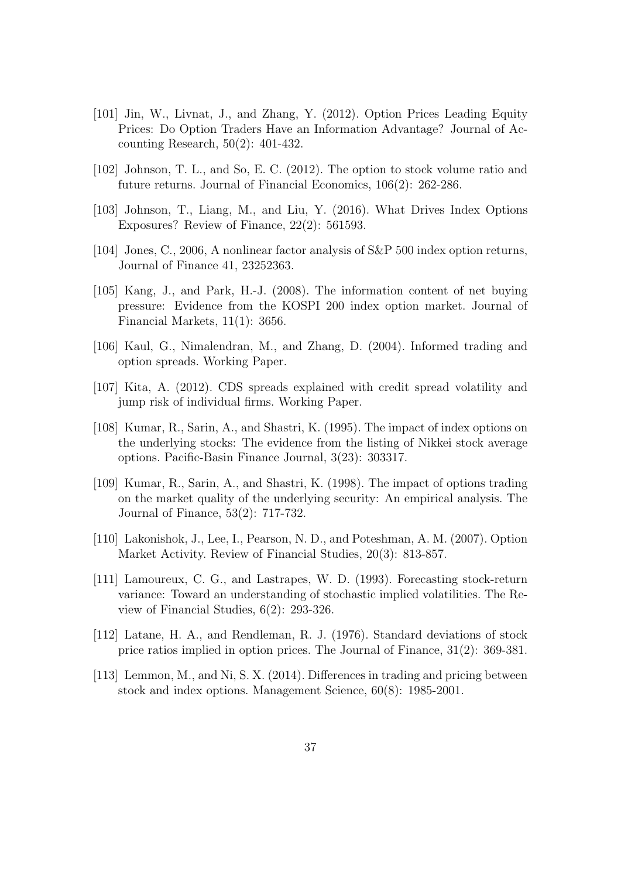- [101] Jin, W., Livnat, J., and Zhang, Y. (2012). Option Prices Leading Equity Prices: Do Option Traders Have an Information Advantage? Journal of Accounting Research, 50(2): 401-432.
- [102] Johnson, T. L., and So, E. C. (2012). The option to stock volume ratio and future returns. Journal of Financial Economics, 106(2): 262-286.
- [103] Johnson, T., Liang, M., and Liu, Y. (2016). What Drives Index Options Exposures? Review of Finance, 22(2): 561593.
- [104] Jones, C., 2006, A nonlinear factor analysis of S&P 500 index option returns, Journal of Finance 41, 23252363.
- [105] Kang, J., and Park, H.-J. (2008). The information content of net buying pressure: Evidence from the KOSPI 200 index option market. Journal of Financial Markets, 11(1): 3656.
- [106] Kaul, G., Nimalendran, M., and Zhang, D. (2004). Informed trading and option spreads. Working Paper.
- [107] Kita, A. (2012). CDS spreads explained with credit spread volatility and jump risk of individual firms. Working Paper.
- [108] Kumar, R., Sarin, A., and Shastri, K. (1995). The impact of index options on the underlying stocks: The evidence from the listing of Nikkei stock average options. Pacific-Basin Finance Journal, 3(23): 303317.
- [109] Kumar, R., Sarin, A., and Shastri, K. (1998). The impact of options trading on the market quality of the underlying security: An empirical analysis. The Journal of Finance, 53(2): 717-732.
- [110] Lakonishok, J., Lee, I., Pearson, N. D., and Poteshman, A. M. (2007). Option Market Activity. Review of Financial Studies, 20(3): 813-857.
- [111] Lamoureux, C. G., and Lastrapes, W. D. (1993). Forecasting stock-return variance: Toward an understanding of stochastic implied volatilities. The Review of Financial Studies, 6(2): 293-326.
- [112] Latane, H. A., and Rendleman, R. J. (1976). Standard deviations of stock price ratios implied in option prices. The Journal of Finance, 31(2): 369-381.
- [113] Lemmon, M., and Ni, S. X. (2014). Differences in trading and pricing between stock and index options. Management Science, 60(8): 1985-2001.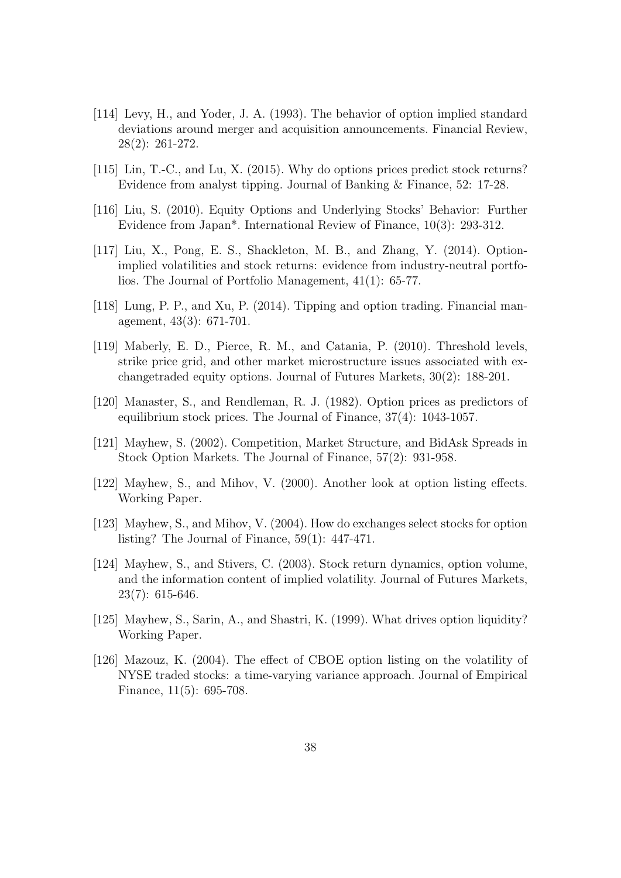- [114] Levy, H., and Yoder, J. A. (1993). The behavior of option implied standard deviations around merger and acquisition announcements. Financial Review, 28(2): 261-272.
- [115] Lin, T.-C., and Lu, X. (2015). Why do options prices predict stock returns? Evidence from analyst tipping. Journal of Banking & Finance, 52: 17-28.
- [116] Liu, S. (2010). Equity Options and Underlying Stocks' Behavior: Further Evidence from Japan\*. International Review of Finance, 10(3): 293-312.
- [117] Liu, X., Pong, E. S., Shackleton, M. B., and Zhang, Y. (2014). Optionimplied volatilities and stock returns: evidence from industry-neutral portfolios. The Journal of Portfolio Management, 41(1): 65-77.
- [118] Lung, P. P., and Xu, P. (2014). Tipping and option trading. Financial management, 43(3): 671-701.
- [119] Maberly, E. D., Pierce, R. M., and Catania, P. (2010). Threshold levels, strike price grid, and other market microstructure issues associated with exchangetraded equity options. Journal of Futures Markets, 30(2): 188-201.
- [120] Manaster, S., and Rendleman, R. J. (1982). Option prices as predictors of equilibrium stock prices. The Journal of Finance, 37(4): 1043-1057.
- [121] Mayhew, S. (2002). Competition, Market Structure, and BidAsk Spreads in Stock Option Markets. The Journal of Finance, 57(2): 931-958.
- [122] Mayhew, S., and Mihov, V. (2000). Another look at option listing effects. Working Paper.
- [123] Mayhew, S., and Mihov, V. (2004). How do exchanges select stocks for option listing? The Journal of Finance, 59(1): 447-471.
- [124] Mayhew, S., and Stivers, C. (2003). Stock return dynamics, option volume, and the information content of implied volatility. Journal of Futures Markets, 23(7): 615-646.
- [125] Mayhew, S., Sarin, A., and Shastri, K. (1999). What drives option liquidity? Working Paper.
- [126] Mazouz, K. (2004). The effect of CBOE option listing on the volatility of NYSE traded stocks: a time-varying variance approach. Journal of Empirical Finance, 11(5): 695-708.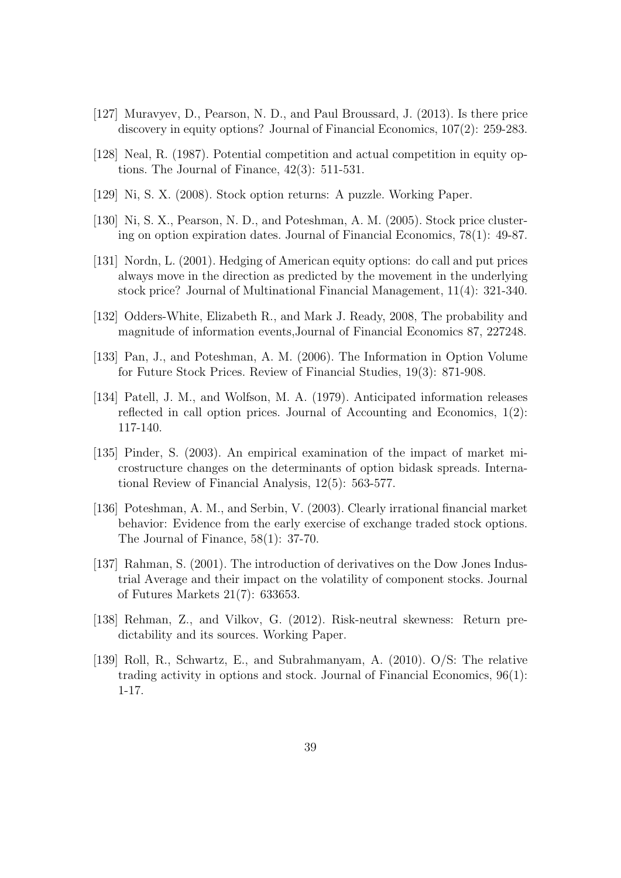- [127] Muravyev, D., Pearson, N. D., and Paul Broussard, J. (2013). Is there price discovery in equity options? Journal of Financial Economics, 107(2): 259-283.
- [128] Neal, R. (1987). Potential competition and actual competition in equity options. The Journal of Finance, 42(3): 511-531.
- [129] Ni, S. X. (2008). Stock option returns: A puzzle. Working Paper.
- [130] Ni, S. X., Pearson, N. D., and Poteshman, A. M. (2005). Stock price clustering on option expiration dates. Journal of Financial Economics, 78(1): 49-87.
- [131] Nordn, L. (2001). Hedging of American equity options: do call and put prices always move in the direction as predicted by the movement in the underlying stock price? Journal of Multinational Financial Management, 11(4): 321-340.
- [132] Odders-White, Elizabeth R., and Mark J. Ready, 2008, The probability and magnitude of information events,Journal of Financial Economics 87, 227248.
- [133] Pan, J., and Poteshman, A. M. (2006). The Information in Option Volume for Future Stock Prices. Review of Financial Studies, 19(3): 871-908.
- [134] Patell, J. M., and Wolfson, M. A. (1979). Anticipated information releases reflected in call option prices. Journal of Accounting and Economics, 1(2): 117-140.
- [135] Pinder, S. (2003). An empirical examination of the impact of market microstructure changes on the determinants of option bidask spreads. International Review of Financial Analysis, 12(5): 563-577.
- [136] Poteshman, A. M., and Serbin, V. (2003). Clearly irrational financial market behavior: Evidence from the early exercise of exchange traded stock options. The Journal of Finance, 58(1): 37-70.
- [137] Rahman, S. (2001). The introduction of derivatives on the Dow Jones Industrial Average and their impact on the volatility of component stocks. Journal of Futures Markets 21(7): 633653.
- [138] Rehman, Z., and Vilkov, G. (2012). Risk-neutral skewness: Return predictability and its sources. Working Paper.
- [139] Roll, R., Schwartz, E., and Subrahmanyam, A. (2010). O/S: The relative trading activity in options and stock. Journal of Financial Economics, 96(1): 1-17.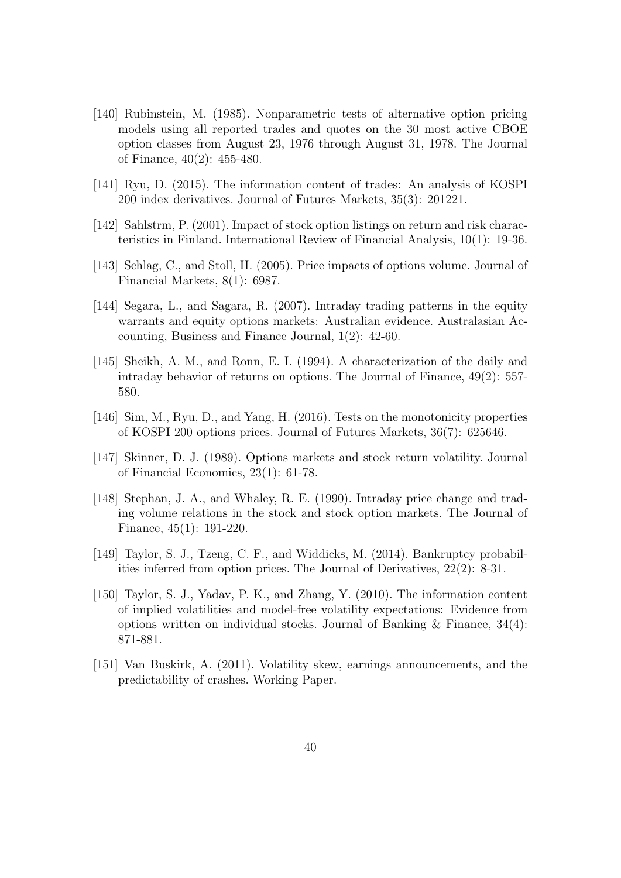- [140] Rubinstein, M. (1985). Nonparametric tests of alternative option pricing models using all reported trades and quotes on the 30 most active CBOE option classes from August 23, 1976 through August 31, 1978. The Journal of Finance, 40(2): 455-480.
- [141] Ryu, D. (2015). The information content of trades: An analysis of KOSPI 200 index derivatives. Journal of Futures Markets, 35(3): 201221.
- [142] Sahlstrm, P. (2001). Impact of stock option listings on return and risk characteristics in Finland. International Review of Financial Analysis, 10(1): 19-36.
- [143] Schlag, C., and Stoll, H. (2005). Price impacts of options volume. Journal of Financial Markets, 8(1): 6987.
- [144] Segara, L., and Sagara, R. (2007). Intraday trading patterns in the equity warrants and equity options markets: Australian evidence. Australasian Accounting, Business and Finance Journal, 1(2): 42-60.
- [145] Sheikh, A. M., and Ronn, E. I. (1994). A characterization of the daily and intraday behavior of returns on options. The Journal of Finance, 49(2): 557- 580.
- [146] Sim, M., Ryu, D., and Yang, H. (2016). Tests on the monotonicity properties of KOSPI 200 options prices. Journal of Futures Markets, 36(7): 625646.
- [147] Skinner, D. J. (1989). Options markets and stock return volatility. Journal of Financial Economics, 23(1): 61-78.
- [148] Stephan, J. A., and Whaley, R. E. (1990). Intraday price change and trading volume relations in the stock and stock option markets. The Journal of Finance, 45(1): 191-220.
- [149] Taylor, S. J., Tzeng, C. F., and Widdicks, M. (2014). Bankruptcy probabilities inferred from option prices. The Journal of Derivatives, 22(2): 8-31.
- [150] Taylor, S. J., Yadav, P. K., and Zhang, Y. (2010). The information content of implied volatilities and model-free volatility expectations: Evidence from options written on individual stocks. Journal of Banking  $\&$  Finance, 34(4): 871-881.
- [151] Van Buskirk, A. (2011). Volatility skew, earnings announcements, and the predictability of crashes. Working Paper.